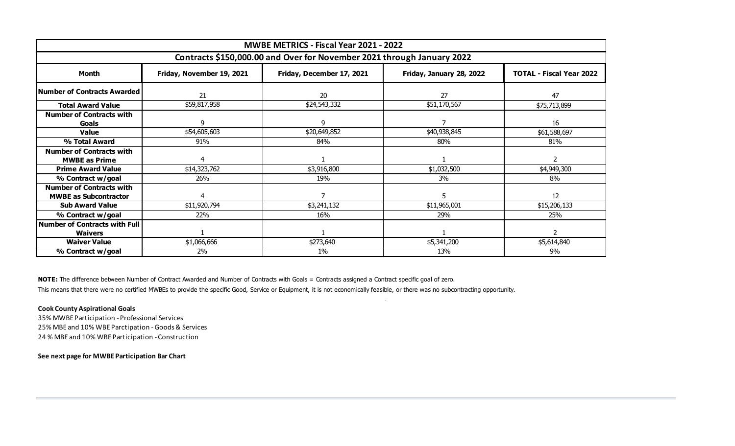| MWBE METRICS - Fiscal Year 2021 - 2022 |                                                                        |                           |                          |                                 |  |  |  |  |  |  |  |  |
|----------------------------------------|------------------------------------------------------------------------|---------------------------|--------------------------|---------------------------------|--|--|--|--|--|--|--|--|
|                                        | Contracts \$150,000.00 and Over for November 2021 through January 2022 |                           |                          |                                 |  |  |  |  |  |  |  |  |
| <b>Month</b>                           | Friday, November 19, 2021                                              | Friday, December 17, 2021 | Friday, January 28, 2022 | <b>TOTAL - Fiscal Year 2022</b> |  |  |  |  |  |  |  |  |
| Number of Contracts Awarded            | 21                                                                     | 20                        | 27                       | 47                              |  |  |  |  |  |  |  |  |
| <b>Total Award Value</b>               | \$59,817,958                                                           | \$24,543,332              | \$51,170,567             | \$75,713,899                    |  |  |  |  |  |  |  |  |
| <b>Number of Contracts with</b>        |                                                                        |                           |                          |                                 |  |  |  |  |  |  |  |  |
| Goals                                  | 9                                                                      | 9                         |                          | 16                              |  |  |  |  |  |  |  |  |
| <b>Value</b>                           | \$54,605,603                                                           | \$20,649,852              | \$40,938,845             | \$61,588,697                    |  |  |  |  |  |  |  |  |
| % Total Award                          | 91%                                                                    | 84%                       | 80%                      | 81%                             |  |  |  |  |  |  |  |  |
| <b>Number of Contracts with</b>        |                                                                        |                           |                          |                                 |  |  |  |  |  |  |  |  |
| <b>MWBE as Prime</b>                   | 4                                                                      |                           |                          | 2                               |  |  |  |  |  |  |  |  |
| <b>Prime Award Value</b>               | \$14,323,762                                                           | \$3,916,800               | \$1,032,500              | \$4,949,300                     |  |  |  |  |  |  |  |  |
| % Contract w/goal                      | 26%                                                                    | 19%                       | 3%                       | 8%                              |  |  |  |  |  |  |  |  |
| <b>Number of Contracts with</b>        |                                                                        |                           |                          |                                 |  |  |  |  |  |  |  |  |
| <b>MWBE as Subcontractor</b>           | 4                                                                      |                           | 5                        | 12                              |  |  |  |  |  |  |  |  |
| <b>Sub Award Value</b>                 | \$11,920,794                                                           | \$3,241,132               | \$11,965,001             | \$15,206,133                    |  |  |  |  |  |  |  |  |
| % Contract w/goal                      | 22%                                                                    | 16%                       | 29%                      | 25%                             |  |  |  |  |  |  |  |  |
| <b>Number of Contracts with Full</b>   |                                                                        |                           |                          |                                 |  |  |  |  |  |  |  |  |
| <b>Waivers</b>                         |                                                                        |                           |                          | $\overline{2}$                  |  |  |  |  |  |  |  |  |
| <b>Waiver Value</b>                    | \$1,066,666                                                            | \$273,640                 | \$5,341,200              | \$5,614,840                     |  |  |  |  |  |  |  |  |
| % Contract w/goal                      | 2%                                                                     | $1\%$                     | 13%                      | 9%                              |  |  |  |  |  |  |  |  |

.

**NOTE:** The difference between Number of Contract Awarded and Number of Contracts with Goals = Contracts assigned a Contract specific goal of zero.

This means that there were no certified MWBEs to provide the specific Good, Service or Equipment, it is not economically feasible, or there was no subcontracting opportunity.

# **Cook County Aspirational Goals**

35% MWBE Participation - Professional Services 25% MBE and 10% WBE Parctipation - Goods & Services 24 % MBE and 10% WBE Participation - Construction

**See next page for MWBE Participation Bar Chart**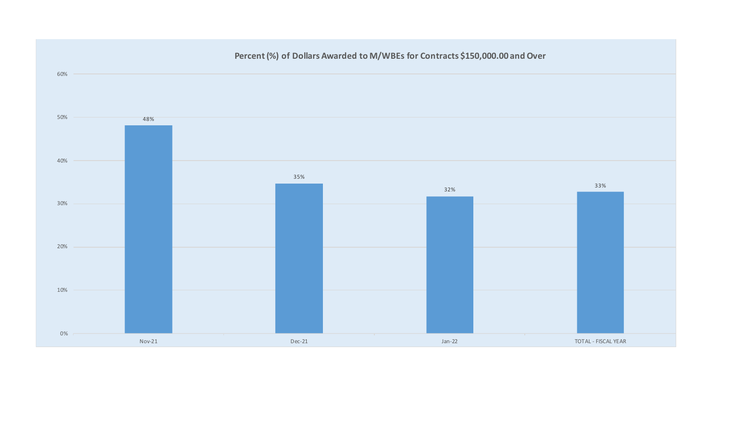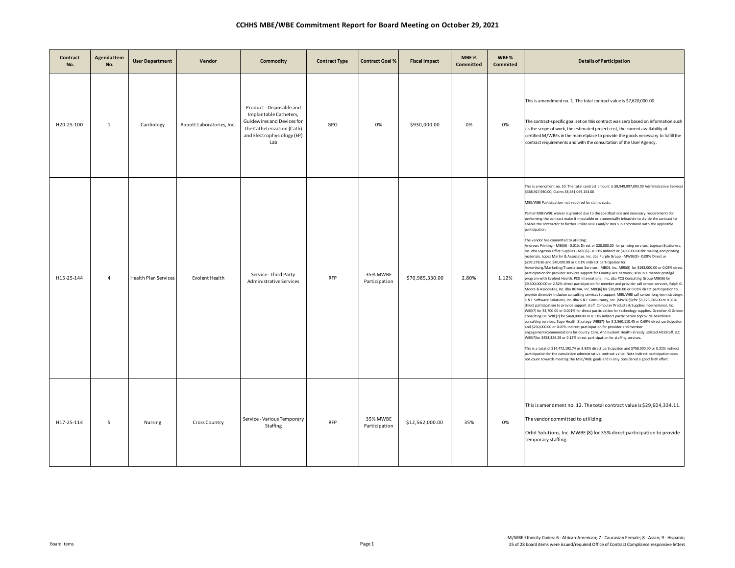| Contract<br>No. | <b>Agenda Item</b><br>No. | <b>User Department</b>      | Vendor                    | Commodity                                                                                                                                           | <b>Contract Type</b> | <b>Contract Goal %</b>    | <b>Fiscal Impact</b> | MBE%<br><b>Committed</b> | WBE%<br>Commited | <b>Details of Participation</b>                                                                                                                                                                                                                                                                                                                                                                                                                                                                                                                                                                                                                                                                                                                                                                                                                                                                                                                                                                                                                                                                                                                                                                                                                                                                                                                                                                                                                                                                                                                                                                                                                                                                                                                                                                                                                                                                                                                                                                                                                                                                                                                                                                                                                                                                                                                                                                                                                                                                                                                                                                                                                       |
|-----------------|---------------------------|-----------------------------|---------------------------|-----------------------------------------------------------------------------------------------------------------------------------------------------|----------------------|---------------------------|----------------------|--------------------------|------------------|-------------------------------------------------------------------------------------------------------------------------------------------------------------------------------------------------------------------------------------------------------------------------------------------------------------------------------------------------------------------------------------------------------------------------------------------------------------------------------------------------------------------------------------------------------------------------------------------------------------------------------------------------------------------------------------------------------------------------------------------------------------------------------------------------------------------------------------------------------------------------------------------------------------------------------------------------------------------------------------------------------------------------------------------------------------------------------------------------------------------------------------------------------------------------------------------------------------------------------------------------------------------------------------------------------------------------------------------------------------------------------------------------------------------------------------------------------------------------------------------------------------------------------------------------------------------------------------------------------------------------------------------------------------------------------------------------------------------------------------------------------------------------------------------------------------------------------------------------------------------------------------------------------------------------------------------------------------------------------------------------------------------------------------------------------------------------------------------------------------------------------------------------------------------------------------------------------------------------------------------------------------------------------------------------------------------------------------------------------------------------------------------------------------------------------------------------------------------------------------------------------------------------------------------------------------------------------------------------------------------------------------------------------|
| H20-25-100      | 1                         | Cardiology                  | Abbott Laboratories, Inc. | Product - Disposable and<br>Implantable Catheters,<br>Guidewires and Devices for<br>the Catheterization (Cath)<br>and Electrophysiology (EP)<br>Lab | GPO                  | 0%                        | \$930,000.00         | 0%                       | 0%               | This is amendment no. 1. The total contract value is \$7,620,000.00.<br>The contract-specific goal set on this contract was zero based on information such<br>as the scope of work, the estimated project cost, the current availability of<br>certified M/WBEs in the marketplace to provide the goods necessary to fulfill the<br>contract requirements and with the consultation of the User Agency.                                                                                                                                                                                                                                                                                                                                                                                                                                                                                                                                                                                                                                                                                                                                                                                                                                                                                                                                                                                                                                                                                                                                                                                                                                                                                                                                                                                                                                                                                                                                                                                                                                                                                                                                                                                                                                                                                                                                                                                                                                                                                                                                                                                                                                               |
| H15-25-144      | $\overline{4}$            | <b>Health Plan Services</b> | Evolent Health            | Service - Third Party<br>Administrative Services                                                                                                    | <b>RFP</b>           | 35% MWBE<br>Participation | \$70,985,330.00      | 2.80%                    | 1.12%            | This is amendment no. 10. The total contract amount is \$8,949,997,093.00 Administrative Services<br>\$368,927,940.00; Claims \$8,581,069,153.00<br>MBE/WBE Participation not required for claims costs.<br>Partial MBE/WBE waiver is granted due to the specifications and necessary requirements for<br>performing the contract make it impossible or economically infeasible to divide the contract to<br>enable the contractor to further utilize MBEs and/or WBEs in accordance with the applicable<br>participation.<br>The vendor has committed to utilizing:<br>Andrews Printing - MBE(6) - 0.01% Direct or \$20,000.00 for printing services. Logdson Stationers,<br>Inc. dba Logdson Office Supplies - MBE(6) - 0.13% Indirect or \$490,000.00 for mailing and printing<br>materials. Lopez Martin & Associates, Inc. dba Purple Group - MWBE(9) - 0.08% Direct or<br>\$297,278.86 and \$40,000.00 or 0.01% indirect participation for<br>Advertising/Marketing/Translations Services. MBOS, Inc. MBE(8) for \$192,000.00 or 0.05% direct<br>participation for provider services support for CountyCare network; also in a mentor protégé<br>program with Evolent Health. PCG International, Inc. dba PCG Consulting Group MBE(6) for<br>\$9,300,000.00 or 2.52% direct participation for member and provider call center services, Ralph G.<br>Moore & Associates, Inc. dba RGMA, Inc. MBE(6) for \$30,000.00 or 0.01% direct participation to<br>provide diversity inclusion consulting services to support MBE/WBE call center long-term strategy.<br>S & F Software Solutions, Inc. dba S & F Consultancy, Inc. (MWBE(8) for \$1,125,745.00 or 0.31%<br>direct participation to provide support staff. Computer Products & Supplies International, Inc.<br>WBE(7) for \$3,700.00 or 0.001% for direct participation for technology supplies. Gretchen G Grieser<br>Consulting LLC WBE(7) for \$468,000.00 or 0.13% indirect participation toprovide healthcare<br>consulting services. Sage Health Strategy WBE(7)- for \$ 2,560,110.45 or 0.69% direct participation<br>and \$250,000.00 or 0.07% indirect participation for provider and member<br>engagement/communications for County Care. And Evolent Health already utilized AltaStaff, LLC<br>WBE(7)for \$453,359.29 or 0.12% direct participation for staffing services.<br>This is a total of \$14,472,192.74 or 3.92% direct participation and \$758,000.00 or 0.21% indirect<br>participation for the cumulative administrative contract value. Note indirect participation does<br>not count towards meeting the MBE/WBE goals and is only considered a good faith effort. |
| H17-25-114      | 5                         | Nursing                     | <b>Cross Country</b>      | Service - Various Temporary<br>Staffing                                                                                                             | <b>RFP</b>           | 35% MWBE<br>Participation | \$12,562,000.00      | 35%                      | 0%               | This is amendment no. 12. The total contract value is \$29,604,334.11.<br>The vendor committed to utilizing:<br>Orbit Solutions, Inc. MWBE (8) for 35% direct participation to provide<br>temporary staffing.                                                                                                                                                                                                                                                                                                                                                                                                                                                                                                                                                                                                                                                                                                                                                                                                                                                                                                                                                                                                                                                                                                                                                                                                                                                                                                                                                                                                                                                                                                                                                                                                                                                                                                                                                                                                                                                                                                                                                                                                                                                                                                                                                                                                                                                                                                                                                                                                                                         |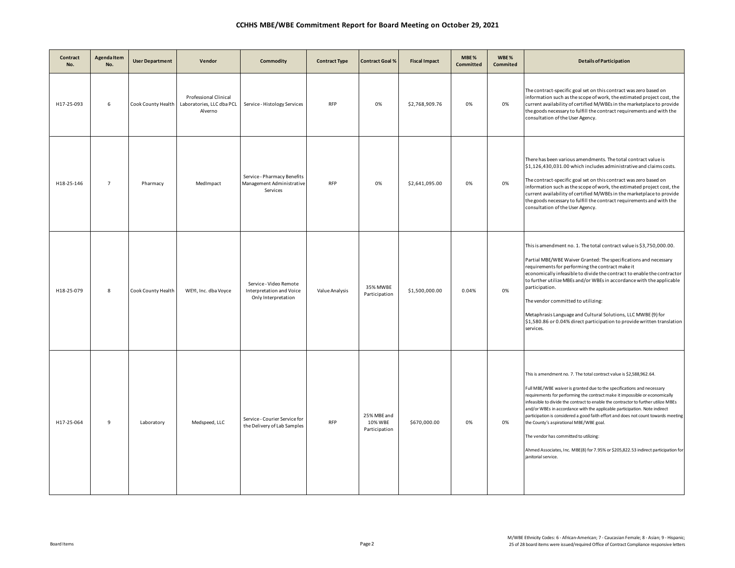| Contract<br>No. | <b>Agenda Item</b><br>No. | <b>User Department</b> | Vendor                                                        | <b>Commodity</b>                                                          | <b>Contract Type</b> | <b>Contract Goal %</b>                  | <b>Fiscal Impact</b> | MBE%<br><b>Committed</b> | WBE%<br>Commited | <b>Details of Participation</b>                                                                                                                                                                                                                                                                                                                                                                                                                                                                                                                                                                                                                                                           |
|-----------------|---------------------------|------------------------|---------------------------------------------------------------|---------------------------------------------------------------------------|----------------------|-----------------------------------------|----------------------|--------------------------|------------------|-------------------------------------------------------------------------------------------------------------------------------------------------------------------------------------------------------------------------------------------------------------------------------------------------------------------------------------------------------------------------------------------------------------------------------------------------------------------------------------------------------------------------------------------------------------------------------------------------------------------------------------------------------------------------------------------|
| H17-25-093      | 6                         | Cook County Health     | Professional Clinical<br>Laboratories, LLC dba PCL<br>Alverno | Service - Histology Services                                              | <b>RFP</b>           | 0%                                      | \$2,768,909.76       | 0%                       | 0%               | The contract-specific goal set on this contract was zero based on<br>information such as the scope of work, the estimated project cost, the<br>current availability of certified M/WBEs in the marketplace to provide<br>the goods necessary to fulfill the contract requirements and with the<br>consultation of the User Agency.                                                                                                                                                                                                                                                                                                                                                        |
| H18-25-146      | $\overline{7}$            | Pharmacy               | MedImpact                                                     | Service - Pharmacy Benefits<br>Management Administrative<br>Services      | <b>RFP</b>           | 0%                                      | \$2,641,095.00       | 0%                       | 0%               | There has been various amendments. The total contract value is<br>\$1,126,430,031.00 which includes administrative and claims costs.<br>The contract-specific goal set on this contract was zero based on<br>information such as the scope of work, the estimated project cost, the<br>current availability of certified M/WBEs in the marketplace to provide<br>the goods necessary to fulfill the contract requirements and with the<br>consultation of the User Agency.                                                                                                                                                                                                                |
| H18-25-079      | $\bf 8$                   | Cook County Health     | WEYI, Inc. dba Voyce                                          | Service - Video Remote<br>Interpretation and Voice<br>Only Interpretation | Value Analysis       | 35% MWBE<br>Participation               | \$1,500,000.00       | 0.04%                    | 0%               | This is amendment no. 1. The total contract value is \$3,750,000.00.<br>Partial MBE/WBE Waiver Granted: The specifications and necessary<br>requirements for performing the contract make it<br>economically infeasible to divide the contract to enable the contractor<br>to further utilize MBEs and/or WBEs in accordance with the applicable<br>participation.<br>The vendor committed to utilizing:<br>Metaphrasis Language and Cultural Solutions, LLC MWBE (9) for<br>\$1,580.86 or 0.04% direct participation to provide written translation<br>services.                                                                                                                         |
| H17-25-064      | 9                         | Laboratory             | Medspeed, LLC                                                 | Service - Courier Service for<br>the Delivery of Lab Samples              | <b>RFP</b>           | 25% MBE and<br>10% WBE<br>Participation | \$670,000.00         | 0%                       | 0%               | This is amendment no. 7. The total contract value is \$2,588,962.64.<br>Full MBE/WBE waiver is granted due to the specifications and necessary<br>requirements for performing the contract make it impossible or economically<br>infeasible to divide the contract to enable the contractor to further utilize MBEs<br>and/or WBEs in accordance with the applicable participation. Note indirect<br>participation is considered a good faith effort and does not count towards meeting<br>the County's aspirational MBE/WBE goal.<br>The vendor has committed to utilizing:<br>Ahmed Associates, Inc. MBE(8) for 7.95% or \$205,822.53 indirect participation for<br>janitorial service. |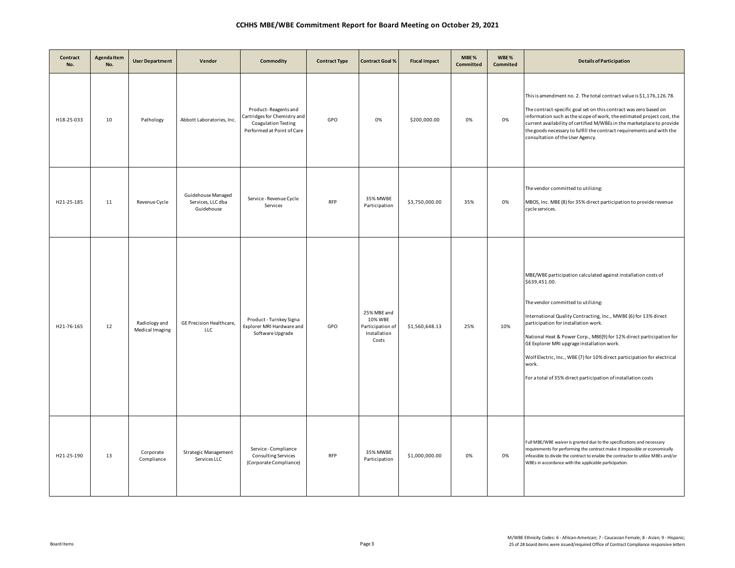| Contract<br>No. | Agenda Item<br>No. | <b>User Department</b>           | Vendor                                                | Commodity                                                                                                        | <b>Contract Type</b> | <b>Contract Goal %</b>                                              | <b>Fiscal Impact</b> | MBE%<br>Committed | WBE%<br>Commited | <b>Details of Participation</b>                                                                                                                                                                                                                                                                                                                                                                                                                                                                               |
|-----------------|--------------------|----------------------------------|-------------------------------------------------------|------------------------------------------------------------------------------------------------------------------|----------------------|---------------------------------------------------------------------|----------------------|-------------------|------------------|---------------------------------------------------------------------------------------------------------------------------------------------------------------------------------------------------------------------------------------------------------------------------------------------------------------------------------------------------------------------------------------------------------------------------------------------------------------------------------------------------------------|
| H18-25-033      | 10                 | Pathology                        | Abbott Laboratories, Inc.                             | Product-Reagents and<br>Cartridges for Chemistry and<br><b>Coagulation Testing</b><br>Performed at Point of Care | GPO                  | 0%                                                                  | \$200,000.00         | 0%                | 0%               | This is amendment no. 2. The total contract value is \$1,176,126.78.<br>The contract-specific goal set on this contract was zero based on<br>information such as the scope of work, the estimated project cost, the<br>current availability of certified M/WBEs in the marketplace to provide<br>the goods necessary to fulfill the contract requirements and with the<br>consultation of the User Agency.                                                                                                    |
| H21-25-185      | 11                 | Revenue Cycle                    | Guidehouse Managed<br>Services, LLC dba<br>Guidehouse | Service - Revenue Cycle<br>Services                                                                              | <b>RFP</b>           | 35% MWBE<br>Participation                                           | \$3,750,000.00       | 35%               | 0%               | The vendor committed to utilizing:<br>MBOS, Inc. MBE (8) for 35% direct participation to provide revenue<br>cycle services.                                                                                                                                                                                                                                                                                                                                                                                   |
| H21-76-165      | 12                 | Radiology and<br>Medical Imaging | GE Precision Healthcare,<br>LLC                       | Product - Turnkey Signa<br>Explorer MRI Hardware and<br>Software Upgrade                                         | GPO                  | 25% MBE and<br>10% WBE<br>Participation of<br>Installation<br>Costs | \$1,560,648.13       | 25%               | 10%              | MBE/WBE participation calculated against installation costs of<br>\$639,451.00.<br>The vendor committed to utilizing:<br>International Quality Contracting, Inc., MWBE (6) for 13% direct<br>participation for installation work.<br>National Heat & Power Corp., MBE(9) for 12% direct participation for<br>GE Explorer MRI upgrage installation work.<br>Wolf Electric, Inc., WBE (7) for 10% direct participation for electrical<br>work.<br>For a total of 35% direct participation of installation costs |
| H21-25-190      | 13                 | Corporate<br>Compliance          | Strategic Management<br>Services LLC                  | Service - Compliance<br><b>Consulting Services</b><br>(Corporate Compliance)                                     | <b>RFP</b>           | 35% MWBE<br>Participation                                           | \$1,000,000.00       | 0%                | 0%               | Full MBE/WBE waiver is granted due to the specifications and necessary<br>requirements for performing the contract make it impossible or economically<br>infeasible to divide the contract to enable the contractor to utilize MBEs and/or<br>WBEs in accordance with the applicable participation.                                                                                                                                                                                                           |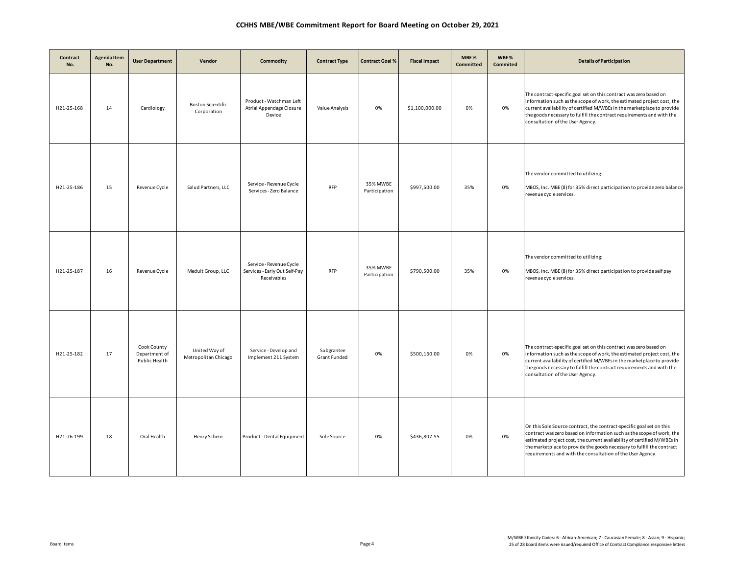| Contract<br>No. | <b>Agenda Item</b><br>No. | <b>User Department</b>                        | Vendor                                  | Commodity                                                               | <b>Contract Type</b>       | <b>Contract Goal %</b>    | <b>Fiscal Impact</b> | MBE%<br>Committed | WBE%<br>Commited | <b>Details of Participation</b>                                                                                                                                                                                                                                                                                                                                  |
|-----------------|---------------------------|-----------------------------------------------|-----------------------------------------|-------------------------------------------------------------------------|----------------------------|---------------------------|----------------------|-------------------|------------------|------------------------------------------------------------------------------------------------------------------------------------------------------------------------------------------------------------------------------------------------------------------------------------------------------------------------------------------------------------------|
| H21-25-168      | 14                        | Cardiology                                    | <b>Boston Scientific</b><br>Corporation | Product - Watchman Left<br>Atrial Appendage Closure<br>Device           | Value Analysis             | 0%                        | \$1,100,000.00       | 0%                | 0%               | The contract-specific goal set on this contract was zero based on<br>information such as the scope of work, the estimated project cost, the<br>current availability of certified M/WBEs in the marketplace to provide<br>the goods necessary to fulfill the contract requirements and with the<br>consultation of the User Agency.                               |
| H21-25-186      | 15                        | Revenue Cycle                                 | Salud Partners, LLC                     | Service - Revenue Cycle<br>Services - Zero Balance                      | <b>RFP</b>                 | 35% MWBE<br>Participation | \$997,500.00         | 35%               | 0%               | The vendor committed to utilizing:<br>MBOS, Inc. MBE (8) for 35% direct participation to provide zero balance<br>revenue cycle services.                                                                                                                                                                                                                         |
| H21-25-187      | 16                        | Revenue Cycle                                 | Meduit Group, LLC                       | Service - Revenue Cycle<br>Services - Early Out Self-Pay<br>Receivables | <b>RFP</b>                 | 35% MWBE<br>Participation | \$790,500.00         | 35%               | 0%               | The vendor committed to utilizing:<br>MBOS, Inc. MBE (8) for 35% direct participation to provide self pay<br>revenue cycle services.                                                                                                                                                                                                                             |
| H21-25-182      | 17                        | Cook County<br>Department of<br>Public Health | United Way of<br>Metropolitan Chicago   | Service - Develop and<br>Implement 211 System                           | Subgrantee<br>Grant Funded | 0%                        | \$500,160.00         | 0%                | 0%               | The contract-specific goal set on this contract was zero based on<br>information such as the scope of work, the estimated project cost, the<br>current availability of certified M/WBEs in the marketplace to provide<br>the goods necessary to fulfill the contract requirements and with the<br>consultation of the User Agency.                               |
| H21-76-199      | 18                        | Oral Health                                   | Henry Schein                            | Product - Dental Equipment                                              | Sole Source                | 0%                        | \$436,807.55         | 0%                | 0%               | On this Sole Source contract, the contract-specific goal set on this<br>contract was zero based on information such as the scope of work, the<br>estimated project cost, the current availability of certified M/WBEs in<br>the marketplace to provide the goods necessary to fulfill the contract<br>requirements and with the consultation of the User Agency. |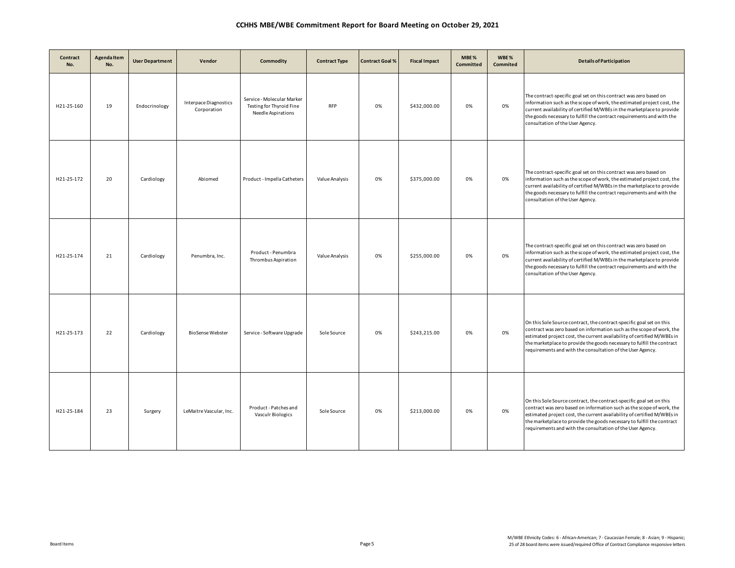| Contract<br>No. | Agenda Item<br>No. | <b>User Department</b> | Vendor                               | Commodity                                                                    | <b>Contract Type</b> | <b>Contract Goal %</b> | <b>Fiscal Impact</b> | MBE%<br>Committed | WBE%<br>Commited | <b>Details of Participation</b>                                                                                                                                                                                                                                                                                                                                  |
|-----------------|--------------------|------------------------|--------------------------------------|------------------------------------------------------------------------------|----------------------|------------------------|----------------------|-------------------|------------------|------------------------------------------------------------------------------------------------------------------------------------------------------------------------------------------------------------------------------------------------------------------------------------------------------------------------------------------------------------------|
| H21-25-160      | 19                 | Endocrinology          | Interpace Diagnostics<br>Corporation | Service - Molecular Marker<br>Testing for Thyroid Fine<br>Needle Aspirations | <b>RFP</b>           | 0%                     | \$432,000.00         | 0%                | 0%               | The contract-specific goal set on this contract was zero based on<br>information such as the scope of work, the estimated project cost, the<br>current availability of certified M/WBEs in the marketplace to provide<br>the goods necessary to fulfill the contract requirements and with the<br>consultation of the User Agency.                               |
| H21-25-172      | 20                 | Cardiology             | Abiomed                              | Product - Impella Catheters                                                  | Value Analysis       | 0%                     | \$375,000.00         | 0%                | 0%               | The contract-specific goal set on this contract was zero based on<br>information such as the scope of work, the estimated project cost, the<br>current availability of certified M/WBEs in the marketplace to provide<br>the goods necessary to fulfill the contract requirements and with the<br>consultation of the User Agency.                               |
| H21-25-174      | 21                 | Cardiology             | Penumbra, Inc.                       | Product - Penumbra<br>Thrombus Aspiration                                    | Value Analysis       | 0%                     | \$255,000.00         | 0%                | 0%               | The contract-specific goal set on this contract was zero based on<br>information such as the scope of work, the estimated project cost, the<br>current availability of certified M/WBEs in the marketplace to provide<br>the goods necessary to fulfill the contract requirements and with the<br>consultation of the User Agency.                               |
| H21-25-173      | 22                 | Cardiology             | <b>BioSense Webster</b>              | Service - Software Upgrade                                                   | Sole Source          | 0%                     | \$243,215.00         | 0%                | 0%               | On this Sole Source contract, the contract-specific goal set on this<br>contract was zero based on information such as the scope of work, the<br>estimated project cost, the current availability of certified M/WBEs in<br>the marketplace to provide the goods necessary to fulfill the contract<br>requirements and with the consultation of the User Agency. |
| H21-25-184      | 23                 | Surgery                | LeMaitre Vascular, Inc.              | Product - Patches and<br>Vasculr Biologics                                   | Sole Source          | 0%                     | \$213,000.00         | 0%                | 0%               | On this Sole Source contract, the contract-specific goal set on this<br>contract was zero based on information such as the scope of work, the<br>estimated project cost, the current availability of certified M/WBEs in<br>the marketplace to provide the goods necessary to fulfill the contract<br>requirements and with the consultation of the User Agency. |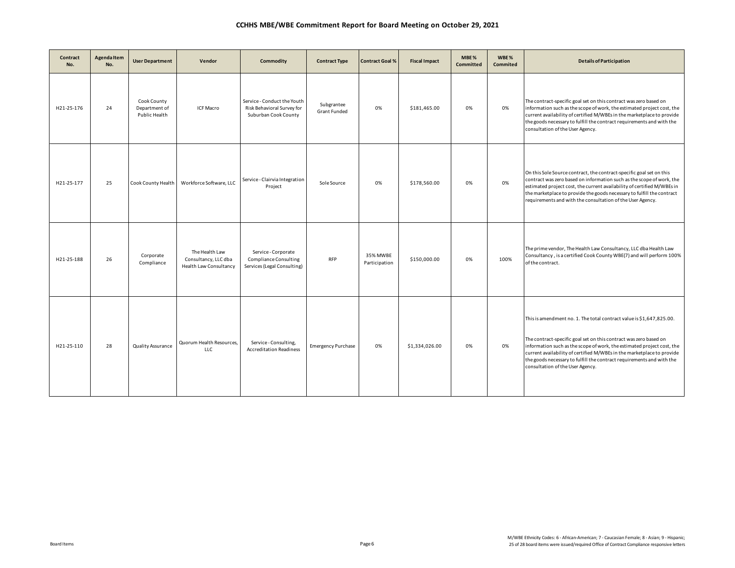| Contract<br>No. | <b>Agenda Item</b><br>No. | <b>User Department</b>                        | Vendor                                                           | Commodity                                                                          | <b>Contract Type</b>              | <b>Contract Goal %</b>    | <b>Fiscal Impact</b> | MBE%<br>Committed | WBE%<br>Commited | <b>Details of Participation</b>                                                                                                                                                                                                                                                                                                                                                                            |
|-----------------|---------------------------|-----------------------------------------------|------------------------------------------------------------------|------------------------------------------------------------------------------------|-----------------------------------|---------------------------|----------------------|-------------------|------------------|------------------------------------------------------------------------------------------------------------------------------------------------------------------------------------------------------------------------------------------------------------------------------------------------------------------------------------------------------------------------------------------------------------|
| H21-25-176      | 24                        | Cook County<br>Department of<br>Public Health | <b>ICF Macro</b>                                                 | Service - Conduct the Youth<br>Risk Behavioral Survey for<br>Suburban Cook County  | Subgrantee<br><b>Grant Funded</b> | 0%                        | \$181,465.00         | 0%                | 0%               | The contract-specific goal set on this contract was zero based on<br>information such as the scope of work, the estimated project cost, the<br>current availability of certified M/WBEs in the marketplace to provide<br>the goods necessary to fulfill the contract requirements and with the<br>consultation of the User Agency.                                                                         |
| H21-25-177      | 25                        | Cook County Health                            | Workforce Software, LLC                                          | Service - Clairvia Integration<br>Project                                          | Sole Source                       | 0%                        | \$178,560.00         | 0%                | 0%               | On this Sole Source contract, the contract-specific goal set on this<br>contract was zero based on information such as the scope of work, the<br>estimated project cost, the current availability of certified M/WBEs in<br>the marketplace to provide the goods necessary to fulfill the contract<br>requirements and with the consultation of the User Agency.                                           |
| H21-25-188      | 26                        | Corporate<br>Compliance                       | The Health Law<br>Consultancy, LLC dba<br>Health Law Consultancy | Service - Corporate<br><b>Compliance Consulting</b><br>Services (Legal Consulting) | <b>RFP</b>                        | 35% MWBE<br>Participation | \$150,000.00         | 0%                | 100%             | The prime vendor, The Health Law Consultancy, LLC dba Health Law<br>Consultancy, is a certified Cook County WBE(7) and will perform 100%<br>of the contract.                                                                                                                                                                                                                                               |
| H21-25-110      | 28                        | Quality Assurance                             | Quorum Health Resources,<br>LLC                                  | Service-Consulting,<br><b>Accreditation Readiness</b>                              | <b>Emergency Purchase</b>         | 0%                        | \$1,334,026.00       | 0%                | 0%               | This is amendment no. 1. The total contract value is \$1,647,825.00.<br>The contract-specific goal set on this contract was zero based on<br>information such as the scope of work, the estimated project cost, the<br>current availability of certified M/WBEs in the marketplace to provide<br>the goods necessary to fulfill the contract requirements and with the<br>consultation of the User Agency. |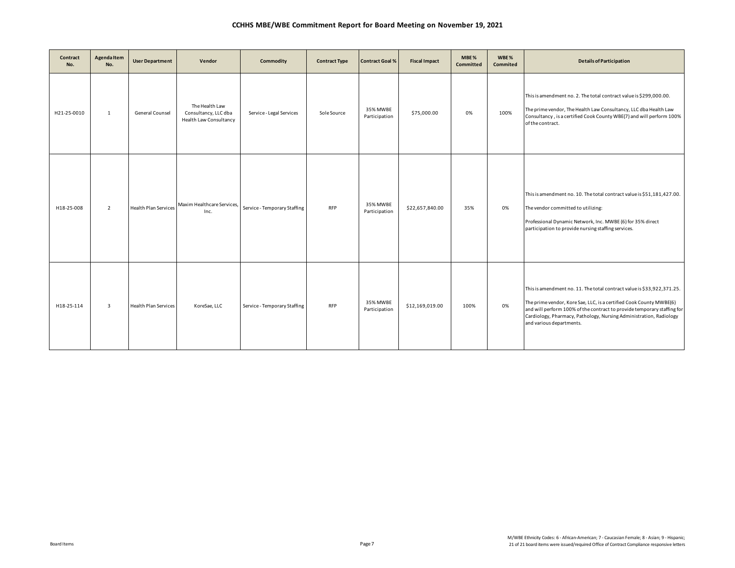| Contract<br>No. | Agenda Item<br>No. | <b>User Department</b>      | Vendor                                                           | Commodity                    | <b>Contract Type</b> | <b>Contract Goal %</b>    | <b>Fiscal Impact</b> | MBE%<br>Committed | WBE%<br><b>Commited</b> | <b>Details of Participation</b>                                                                                                                                                                                                                                                                                            |
|-----------------|--------------------|-----------------------------|------------------------------------------------------------------|------------------------------|----------------------|---------------------------|----------------------|-------------------|-------------------------|----------------------------------------------------------------------------------------------------------------------------------------------------------------------------------------------------------------------------------------------------------------------------------------------------------------------------|
| H21-25-0010     | 1                  | General Counsel             | The Health Law<br>Consultancy, LLC dba<br>Health Law Consultancy | Service - Legal Services     | Sole Source          | 35% MWBE<br>Participation | \$75,000.00          | 0%                | 100%                    | This is amendment no. 2. The total contract value is \$299,000.00.<br>The prime vendor, The Health Law Consultancy, LLC dba Health Law<br>Consultancy, is a certified Cook County WBE(7) and will perform 100%<br>of the contract.                                                                                         |
| H18-25-008      | $\overline{2}$     | <b>Health Plan Services</b> | Maxim Healthcare Services,<br>Inc.                               | Service - Temporary Staffing | <b>RFP</b>           | 35% MWBE<br>Participation | \$22,657,840.00      | 35%               | 0%                      | This is amendment no. 10. The total contract value is \$51,181,427.00.<br>The vendor committed to utilizing:<br>Professional Dynamic Network, Inc. MWBE (6) for 35% direct<br>participation to provide nursing staffing services.                                                                                          |
| H18-25-114      | $\overline{3}$     | <b>Health Plan Services</b> | KoreSae, LLC                                                     | Service - Temporary Staffing | <b>RFP</b>           | 35% MWBE<br>Participation | \$12,169,019.00      | 100%              | 0%                      | This is amendment no. 11. The total contract value is \$33,922,371.25.<br>The prime vendor, Kore Sae, LLC, is a certified Cook County MWBE(6)<br>and will perform 100% of the contract to provide temporary staffing for<br>Cardiology, Pharmacy, Pathology, Nursing Administration, Radiology<br>and various departments. |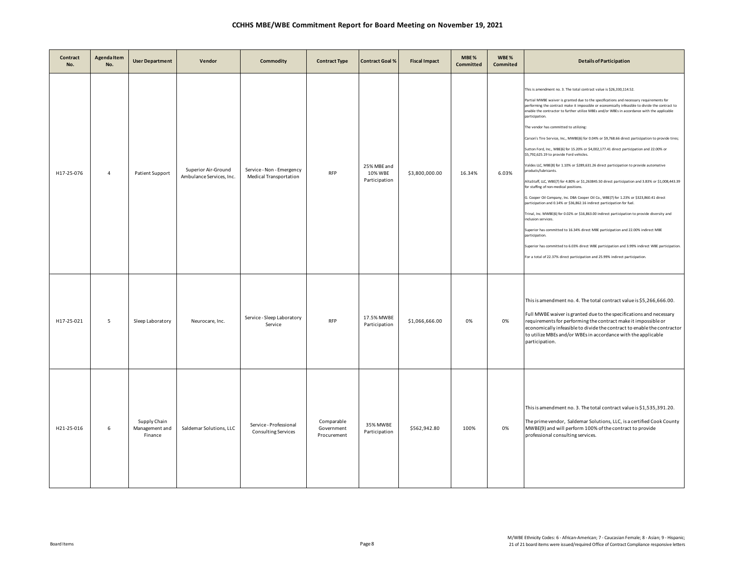| Contract<br>No. | <b>Agenda Item</b><br>No. | <b>User Department</b>                    | Vendor                                          | <b>Commodity</b>                                           | <b>Contract Type</b>                    | <b>Contract Goal %</b>                  | <b>Fiscal Impact</b> | MBE%<br><b>Committed</b> | WBE%<br><b>Commited</b> | <b>Details of Participation</b>                                                                                                                                                                                                                                                                                                                                                                                                                                                                                                                                                                                                                                                                                                                                                                                                                                                                                                                                                                                                                                                                                                                                                                                                                                                                                                                                                                                                                                                                                                           |
|-----------------|---------------------------|-------------------------------------------|-------------------------------------------------|------------------------------------------------------------|-----------------------------------------|-----------------------------------------|----------------------|--------------------------|-------------------------|-------------------------------------------------------------------------------------------------------------------------------------------------------------------------------------------------------------------------------------------------------------------------------------------------------------------------------------------------------------------------------------------------------------------------------------------------------------------------------------------------------------------------------------------------------------------------------------------------------------------------------------------------------------------------------------------------------------------------------------------------------------------------------------------------------------------------------------------------------------------------------------------------------------------------------------------------------------------------------------------------------------------------------------------------------------------------------------------------------------------------------------------------------------------------------------------------------------------------------------------------------------------------------------------------------------------------------------------------------------------------------------------------------------------------------------------------------------------------------------------------------------------------------------------|
| H17-25-076      | $\overline{4}$            | Patient Support                           | Superior Air-Ground<br>Ambulance Services, Inc. | Service - Non - Emergency<br><b>Medical Transportation</b> | <b>RFP</b>                              | 25% MBE and<br>10% WBE<br>Participation | \$3,800,000.00       | 16.34%                   | 6.03%                   | This is amendment no. 3. The total contract value is \$26,330,114.52.<br>Partial MWBE waiver is granted due to the specifications and necessary requirements for<br>performing the contract make it impossible or economically infeasible to divide the contract to<br>enable the contractor to further utilize MBEs and/or WBEs in accordance with the applicable<br>participation.<br>The vendor has committed to utilizing:<br>Carson's Tire Service, Inc., MWBE(6) for 0.04% or \$9,768.66 direct participation to provide tires;<br>Sutton Ford, Inc., MBE(6) for 15.20% or \$4,002,177.41 direct participation and 22.00% or<br>\$5,792,625.19 to provide Ford vehicles.<br>Valdes LLC, MBE(8) for 1.10% or \$289,631.26 direct participation to provide automative<br>products/lubricants.<br>AltaStaff, LLC, WBE(7) for 4.80% or \$1,263845.50 direct participation and 3.83% or \$1,008,443.39<br>for staffing of non-medical positions.<br>G. Cooper Oil Company, Inc. DBA Cooper Oil Co., WBE(7) for 1.23% or \$323,860.41 direct<br>participation and 0.14% or \$36,862.16 indirect participation for fuel.<br>Trinal, Inc. MWBE(6) for 0.02% or \$16,863.00 indirect participation to provide diversity and<br>inclusion services.<br>Superior has committed to 16.34% direct MBE participation and 22.00% indirect MBE<br>participation.<br>Superior has committed to 6.03% direct WBE participation and 3.99% indirect WBE participation.<br>For a total of 22.37% direct participation and 25.99% indirect participation. |
| H17-25-021      | 5                         | Sleep Laboratory                          | Neurocare, Inc.                                 | Service - Sleep Laboratory<br>Service                      | <b>RFP</b>                              | 17.5% MWBE<br>Participation             | \$1,066,666.00       | 0%                       | 0%                      | This is amendment no. 4. The total contract value is \$5,266,666.00.<br>Full MWBE waiver is granted due to the specifications and necessary<br>requirements for performing the contract make it impossible or<br>economically infeasible to divide the contract to enable the contractor<br>to utilize MBEs and/or WBEs in accordance with the applicable<br>participation.                                                                                                                                                                                                                                                                                                                                                                                                                                                                                                                                                                                                                                                                                                                                                                                                                                                                                                                                                                                                                                                                                                                                                               |
| H21-25-016      | 6                         | Supply Chain<br>Management and<br>Finance | Saldemar Solutions, LLC                         | Service - Professional<br><b>Consulting Services</b>       | Comparable<br>Government<br>Procurement | 35% MWBE<br>Participation               | \$562,942.80         | 100%                     | 0%                      | This is amendment no. 3. The total contract value is \$1,535,391.20.<br>The prime vendor, Saldemar Solutions, LLC, is a certified Cook County<br>MWBE(9) and will perform 100% of the contract to provide<br>professional consulting services.                                                                                                                                                                                                                                                                                                                                                                                                                                                                                                                                                                                                                                                                                                                                                                                                                                                                                                                                                                                                                                                                                                                                                                                                                                                                                            |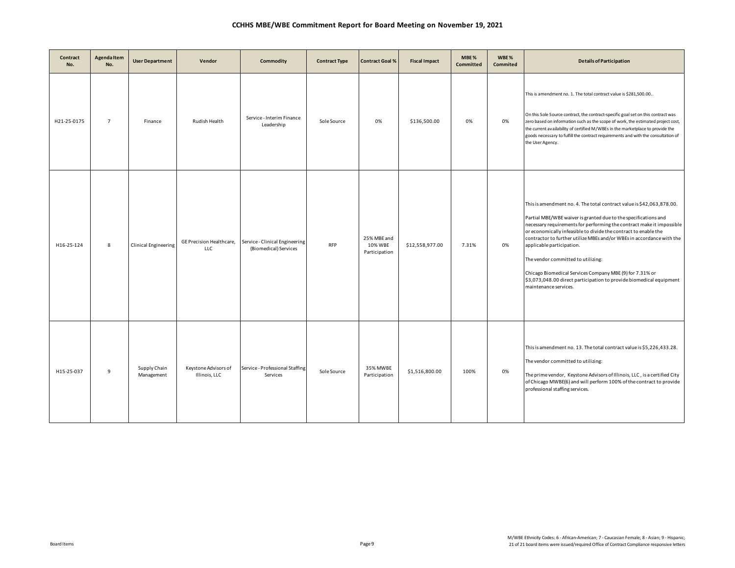| Contract<br>No. | <b>Agenda Item</b><br>No. | <b>User Department</b>      | Vendor                                 | Commodity                                               | <b>Contract Type</b> | <b>Contract Goal %</b>                  | <b>Fiscal Impact</b> | MBE%<br><b>Committed</b> | WBE%<br>Commited | <b>Details of Participation</b>                                                                                                                                                                                                                                                                                                                                                                                                                                                                                                                                                              |
|-----------------|---------------------------|-----------------------------|----------------------------------------|---------------------------------------------------------|----------------------|-----------------------------------------|----------------------|--------------------------|------------------|----------------------------------------------------------------------------------------------------------------------------------------------------------------------------------------------------------------------------------------------------------------------------------------------------------------------------------------------------------------------------------------------------------------------------------------------------------------------------------------------------------------------------------------------------------------------------------------------|
| H21-25-0175     | $\overline{7}$            | Finance                     | Rudish Health                          | Service - Interim Finance<br>Leadership                 | Sole Source          | 0%                                      | \$136,500.00         | 0%                       | 0%               | This is amendment no. 1. The total contract value is \$281,500.00<br>On this Sole Source contract, the contract-specific goal set on this contract was<br>zero based on information such as the scope of work, the estimated project cost,<br>the current availability of certified M/WBEs in the marketplace to provide the<br>goods necessary to fulfill the contract requirements and with the consultation of<br>the User Agency.                                                                                                                                                        |
| H16-25-124      | 8                         | <b>Clinical Engineering</b> | GE Precision Healthcare,<br><b>LLC</b> | Service - Clinical Engineering<br>(Biomedical) Services | <b>RFP</b>           | 25% MBE and<br>10% WBE<br>Participation | \$12,558,977.00      | 7.31%                    | 0%               | This is amendment no. 4. The total contract value is \$42,063,878.00.<br>Partial MBE/WBE waiver is granted due to the specifications and<br>necessary requirements for performing the contract make it impossible<br>or economically infeasible to divide the contract to enable the<br>contractor to further utilize MBEs and/or WBEs in accordance with the<br>applicable participation.<br>The vendor committed to utilizing:<br>Chicago Biomedical Services Company MBE (9) for 7.31% or<br>\$3,073,048.00 direct participation to provide biomedical equipment<br>maintenance services. |
| H15-25-037      | 9                         | Supply Chain<br>Management  | Keystone Advisors of<br>Illinois, LLC  | Service - Professional Staffing<br>Services             | Sole Source          | 35% MWBE<br>Participation               | \$1,516,800.00       | 100%                     | 0%               | This is amendment no. 13. The total contract value is \$5,226,433.28.<br>The vendor committed to utilizing:<br>The prime vendor, Keystone Advisors of Illinois, LLC, is a certified City<br>of Chicago MWBE(6) and will perform 100% of the contract to provide<br>professional staffing services.                                                                                                                                                                                                                                                                                           |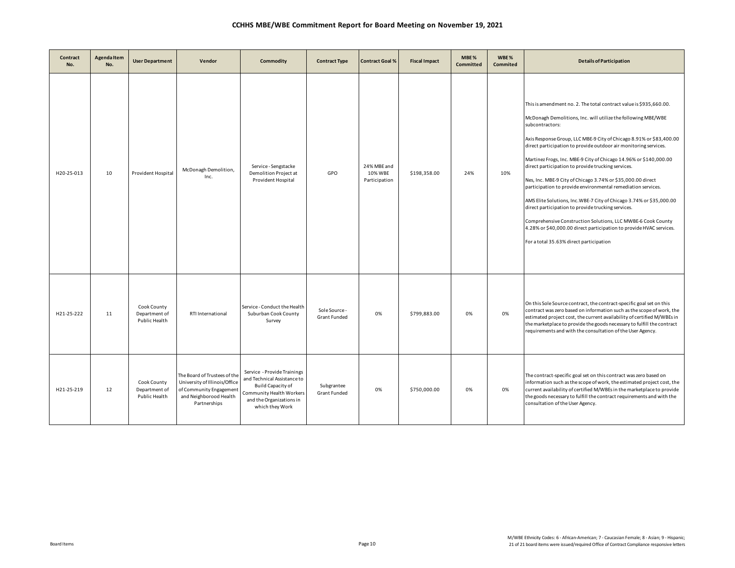| Contract<br>No. | Agenda Item<br>No. | <b>User Department</b>                               | Vendor                                                                                                                             | Commodity                                                                                                                                                  | <b>Contract Type</b>                 | <b>Contract Goal %</b>                  | <b>Fiscal Impact</b> | MBE%<br><b>Committed</b> | WBE%<br>Commited | <b>Details of Participation</b>                                                                                                                                                                                                                                                                                                                                                                                                                                                                                                                                                                                                                                                                                                                                                                                                                                             |
|-----------------|--------------------|------------------------------------------------------|------------------------------------------------------------------------------------------------------------------------------------|------------------------------------------------------------------------------------------------------------------------------------------------------------|--------------------------------------|-----------------------------------------|----------------------|--------------------------|------------------|-----------------------------------------------------------------------------------------------------------------------------------------------------------------------------------------------------------------------------------------------------------------------------------------------------------------------------------------------------------------------------------------------------------------------------------------------------------------------------------------------------------------------------------------------------------------------------------------------------------------------------------------------------------------------------------------------------------------------------------------------------------------------------------------------------------------------------------------------------------------------------|
| H20-25-013      | 10                 | Provident Hospital                                   | McDonagh Demolition,<br>Inc.                                                                                                       | Service - Sengstacke<br>Demolition Project at<br>Provident Hospital                                                                                        | GPO                                  | 24% MBE and<br>10% WBE<br>Participation | \$198,358.00         | 24%                      | 10%              | This is amendment no. 2. The total contract value is \$935,660.00.<br>McDonagh Demolitions, Inc. will utilize the following MBE/WBE<br>subcontractors:<br>Axis Response Group, LLC MBE-9 City of Chicago 8.91% or \$83,400.00<br>direct participation to provide outdoor air monitoring services.<br>Martinez Frogs, Inc. MBE-9 City of Chicago 14.96% or \$140,000.00<br>direct participation to provide trucking services.<br>Nes, Inc. MBE-9 City of Chicago 3.74% or \$35,000.00 direct<br>participation to provide environmental remediation services.<br>AMS Elite Solutions, Inc. WBE-7 City of Chicago 3.74% or \$35,000.00<br>direct participation to provide trucking services.<br>Comprehensive Construction Solutions, LLC MWBE-6 Cook County<br>4.28% or \$40,000.00 direct participation to provide HVAC services.<br>For a total 35.63% direct participation |
| H21-25-222      | 11                 | Cook County<br>Department of<br><b>Public Health</b> | RTI International                                                                                                                  | Service - Conduct the Health<br>Suburban Cook County<br>Survey                                                                                             | Sole Source -<br><b>Grant Funded</b> | 0%                                      | \$799,883.00         | 0%                       | 0%               | On this Sole Source contract, the contract-specific goal set on this<br>contract was zero based on information such as the scope of work, the<br>estimated project cost, the current availability of certified M/WBEs in<br>the marketplace to provide the goods necessary to fulfill the contract<br>requirements and with the consultation of the User Agency.                                                                                                                                                                                                                                                                                                                                                                                                                                                                                                            |
| H21-25-219      | 12                 | Cook County<br>Department of<br>Public Health        | The Board of Trustees of the<br>University of Illinois/Office<br>of Community Engagement<br>and Neighborood Health<br>Partnerships | Service - Provide Trainings<br>and Technical Assistance to<br>Build Capacity of<br>Community Health Workers<br>and the Organizations in<br>which they Work | Subgrantee<br><b>Grant Funded</b>    | 0%                                      | \$750,000.00         | 0%                       | 0%               | The contract-specific goal set on this contract was zero based on<br>information such as the scope of work, the estimated project cost, the<br>current availability of certified M/WBEs in the marketplace to provide<br>the goods necessary to fulfill the contract requirements and with the<br>consultation of the User Agency.                                                                                                                                                                                                                                                                                                                                                                                                                                                                                                                                          |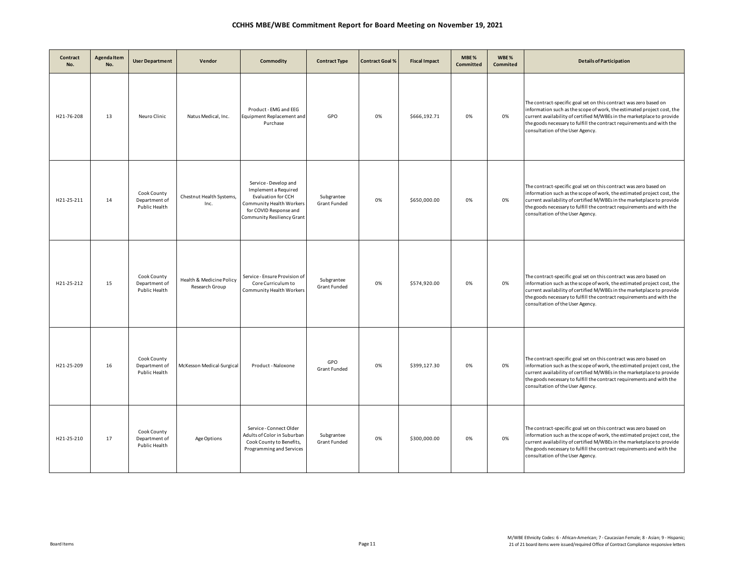| Contract<br>No. | <b>Agenda Item</b><br>No. | <b>User Department</b>                        | Vendor                                     | <b>Commodity</b>                                                                                                                                        | <b>Contract Type</b>       | <b>Contract Goal %</b> | <b>Fiscal Impact</b> | MBE%<br>Committed | WBE%<br><b>Commited</b> | <b>Details of Participation</b>                                                                                                                                                                                                                                                                                                    |
|-----------------|---------------------------|-----------------------------------------------|--------------------------------------------|---------------------------------------------------------------------------------------------------------------------------------------------------------|----------------------------|------------------------|----------------------|-------------------|-------------------------|------------------------------------------------------------------------------------------------------------------------------------------------------------------------------------------------------------------------------------------------------------------------------------------------------------------------------------|
| H21-76-208      | 13                        | Neuro Clinic                                  | Natus Medical, Inc.                        | Product - EMG and EEG<br>Equipment Replacement and<br>Purchase                                                                                          | GPO                        | 0%                     | \$666,192.71         | 0%                | 0%                      | The contract-specific goal set on this contract was zero based on<br>information such as the scope of work, the estimated project cost, the<br>current availability of certified M/WBEs in the marketplace to provide<br>the goods necessary to fulfill the contract requirements and with the<br>consultation of the User Agency. |
| H21-25-211      | 14                        | Cook County<br>Department of<br>Public Health | Chestnut Health Systems,<br>Inc.           | Service - Develop and<br>Implement a Required<br>Evaluation for CCH<br>Community Health Workers<br>for COVID Response and<br>Community Resiliency Grant | Subgrantee<br>Grant Funded | 0%                     | \$650,000.00         | 0%                | 0%                      | The contract-specific goal set on this contract was zero based on<br>information such as the scope of work, the estimated project cost, the<br>current availability of certified M/WBEs in the marketplace to provide<br>the goods necessary to fulfill the contract requirements and with the<br>consultation of the User Agency. |
| H21-25-212      | 15                        | Cook County<br>Department of<br>Public Health | Health & Medicine Policy<br>Research Group | Service - Ensure Provision of<br>Core Curriculum to<br>Community Health Workers                                                                         | Subgrantee<br>Grant Funded | 0%                     | \$574,920.00         | 0%                | 0%                      | The contract-specific goal set on this contract was zero based on<br>information such as the scope of work, the estimated project cost, the<br>current availability of certified M/WBEs in the marketplace to provide<br>the goods necessary to fulfill the contract requirements and with the<br>consultation of the User Agency. |
| H21-25-209      | 16                        | Cook County<br>Department of<br>Public Health | McKesson Medical-Surgical                  | Product - Naloxone                                                                                                                                      | GPO<br><b>Grant Funded</b> | 0%                     | \$399,127.30         | 0%                | 0%                      | The contract-specific goal set on this contract was zero based on<br>information such as the scope of work, the estimated project cost, the<br>current availability of certified M/WBEs in the marketplace to provide<br>the goods necessary to fulfill the contract requirements and with the<br>consultation of the User Agency. |
| H21-25-210      | 17                        | Cook County<br>Department of<br>Public Health | Age Options                                | Service - Connect Older<br>Adults of Color in Suburban<br>Cook County to Benefits,<br>Programming and Services                                          | Subgrantee<br>Grant Funded | 0%                     | \$300,000,00         | 0%                | 0%                      | The contract-specific goal set on this contract was zero based on<br>information such as the scope of work, the estimated project cost, the<br>current availability of certified M/WBEs in the marketplace to provide<br>the goods necessary to fulfill the contract requirements and with the<br>consultation of the User Agency. |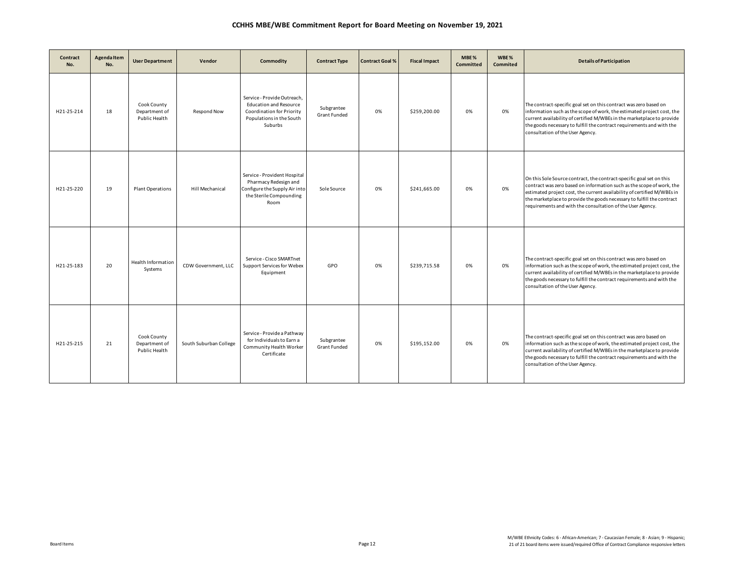| Contract<br>No. | Agenda Item<br>No. | <b>User Department</b>                        | Vendor                 | Commodity                                                                                                                        | <b>Contract Type</b>              | <b>Contract Goal %</b> | <b>Fiscal Impact</b> | MBE%<br>Committed | WBE%<br>Commited | <b>Details of Participation</b>                                                                                                                                                                                                                                                                                                                                  |
|-----------------|--------------------|-----------------------------------------------|------------------------|----------------------------------------------------------------------------------------------------------------------------------|-----------------------------------|------------------------|----------------------|-------------------|------------------|------------------------------------------------------------------------------------------------------------------------------------------------------------------------------------------------------------------------------------------------------------------------------------------------------------------------------------------------------------------|
| H21-25-214      | 18                 | Cook County<br>Department of<br>Public Health | Respond Now            | Service - Provide Outreach,<br><b>Education and Resource</b><br>Coordination for Priority<br>Populations in the South<br>Suburbs | Subgrantee<br>Grant Funded        | 0%                     | \$259,200.00         | 0%                | 0%               | The contract-specific goal set on this contract was zero based on<br>information such as the scope of work, the estimated project cost, the<br>current availability of certified M/WBEs in the marketplace to provide<br>the goods necessary to fulfill the contract requirements and with the<br>consultation of the User Agency.                               |
| H21-25-220      | 19                 | <b>Plant Operations</b>                       | <b>Hill Mechanical</b> | Service - Provident Hospital<br>Pharmacy Redesign and<br>Configure the Supply Air into<br>the Sterile Compounding<br>Room        | Sole Source                       | 0%                     | \$241,665.00         | 0%                | 0%               | On this Sole Source contract, the contract-specific goal set on this<br>contract was zero based on information such as the scope of work, the<br>estimated project cost, the current availability of certified M/WBEs in<br>the marketplace to provide the goods necessary to fulfill the contract<br>requirements and with the consultation of the User Agency. |
| H21-25-183      | 20                 | <b>Health Information</b><br>Systems          | CDW Government, LLC    | Service - Cisco SMARTnet<br>Support Services for Webex<br>Equipment                                                              | GPO                               | 0%                     | \$239,715.58         | 0%                | 0%               | The contract-specific goal set on this contract was zero based on<br>information such as the scope of work, the estimated project cost, the<br>current availability of certified M/WBEs in the marketplace to provide<br>the goods necessary to fulfill the contract requirements and with the<br>consultation of the User Agency.                               |
| H21-25-215      | 21                 | Cook County<br>Department of<br>Public Health | South Suburban College | Service - Provide a Pathway<br>for Individuals to Earn a<br>Community Health Worker<br>Certificate                               | Subgrantee<br><b>Grant Funded</b> | 0%                     | \$195,152.00         | 0%                | 0%               | The contract-specific goal set on this contract was zero based on<br>information such as the scope of work, the estimated project cost, the<br>current availability of certified M/WBEs in the marketplace to provide<br>the goods necessary to fulfill the contract requirements and with the<br>consultation of the User Agency.                               |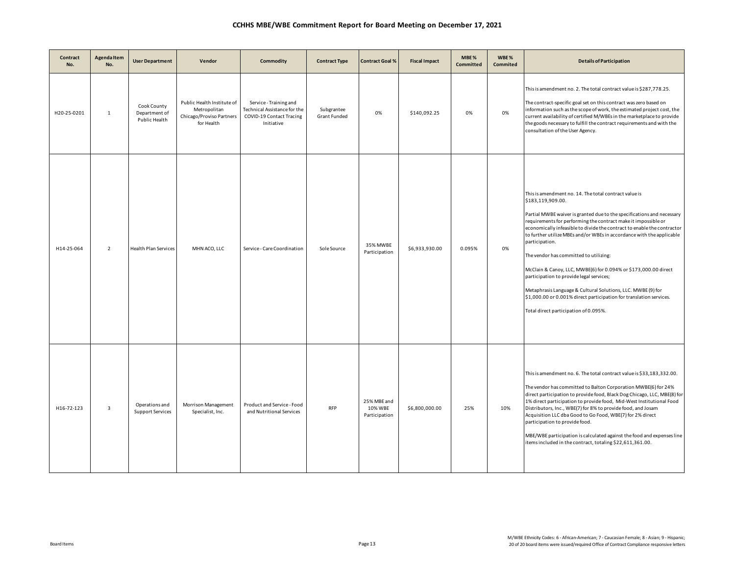| Contract<br>No. | Agenda Item<br>No.      | <b>User Department</b>                        | Vendor                                                                               | Commodity                                                                                        | <b>Contract Type</b>              | <b>Contract Goal %</b>                  | <b>Fiscal Impact</b> | MBE%<br><b>Committed</b> | WBE%<br>Commited | <b>Details of Participation</b>                                                                                                                                                                                                                                                                                                                                                                                                                                                                                                                                                                                                                                                                                                       |
|-----------------|-------------------------|-----------------------------------------------|--------------------------------------------------------------------------------------|--------------------------------------------------------------------------------------------------|-----------------------------------|-----------------------------------------|----------------------|--------------------------|------------------|---------------------------------------------------------------------------------------------------------------------------------------------------------------------------------------------------------------------------------------------------------------------------------------------------------------------------------------------------------------------------------------------------------------------------------------------------------------------------------------------------------------------------------------------------------------------------------------------------------------------------------------------------------------------------------------------------------------------------------------|
| H20-25-0201     | 1                       | Cook County<br>Department of<br>Public Health | Public Health Institute of<br>Metropolitan<br>Chicago/Proviso Partners<br>for Health | Service - Training and<br>Technical Assistance for the<br>COVID-19 Contact Tracing<br>Initiative | Subgrantee<br><b>Grant Funded</b> | 0%                                      | \$140,092.25         | 0%                       | 0%               | This is amendment no. 2. The total contract value is \$287,778.25.<br>The contract-specific goal set on this contract was zero based on<br>information such as the scope of work, the estimated project cost, the<br>current availability of certified M/WBEs in the marketplace to provide<br>the goods necessary to fulfill the contract requirements and with the<br>consultation of the User Agency.                                                                                                                                                                                                                                                                                                                              |
| H14-25-064      | $\overline{2}$          | <b>Health Plan Services</b>                   | MHN ACO, LLC                                                                         | Service - Care Coordination                                                                      | Sole Source                       | 35% MWBE<br>Participation               | \$6,933,930.00       | 0.095%                   | 0%               | This is amendment no. 14. The total contract value is<br>\$183,119,909.00.<br>Partial MWBE waiver is granted due to the specifications and necessary<br>requirements for performing the contract make it impossible or<br>economically infeasible to divide the contract to enable the contractor<br>to further utilize MBEs and/or WBEs in accordance with the applicable<br>participation.<br>The vendor has committed to utilizing:<br>McClain & Canoy, LLC, MWBE(6) for 0.094% or \$173,000.00 direct<br>participation to provide legal services;<br>Metaphrasis Language & Cultural Solutions, LLC. MWBE (9) for<br>\$1,000.00 or 0.001% direct participation for translation services.<br>Total direct participation of 0.095%. |
| H16-72-123      | $\overline{\mathbf{3}}$ | Operations and<br><b>Support Services</b>     | Morrison Management<br>Specialist, Inc.                                              | Product and Service - Food<br>and Nutritional Services                                           | <b>RFP</b>                        | 25% MBE and<br>10% WBE<br>Participation | \$6,800,000.00       | 25%                      | 10%              | This is amendment no. 6. The total contract value is \$33,183,332.00.<br>The vendor has committed to Balton Corporation MWBE(6) for 24%<br>direct participation to provide food, Black Dog Chicago, LLC, MBE(8) for<br>1% direct participation to provide food, Mid-West Institutional Food<br>Distributors, Inc., WBE(7) for 8% to provide food, and Josam<br>Acquisition LLC dba Good to Go Food, WBE(7) for 2% direct<br>participation to provide food.<br>MBE/WBE participation is calculated against the food and expenses line<br>items included in the contract, totaling \$22,611,361.00.                                                                                                                                     |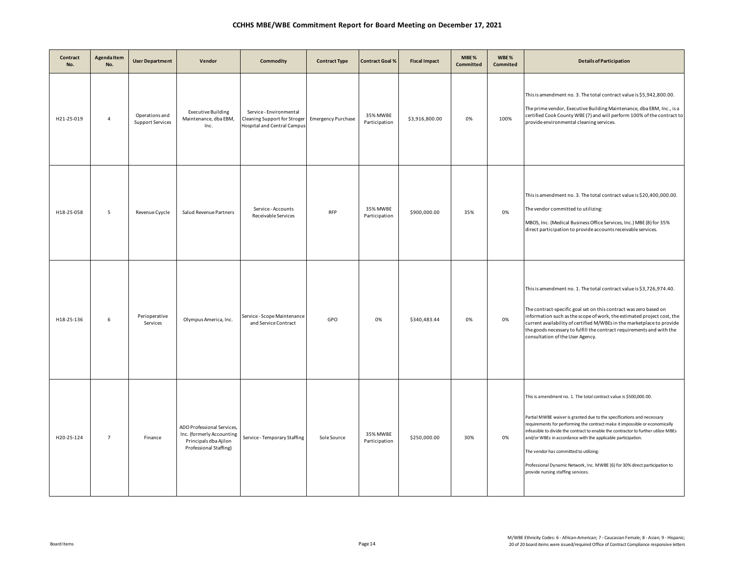| Contract<br>No. | <b>Agenda Item</b><br>No. | <b>User Department</b>                    | Vendor                                                                                                     | Commodity                                                                                     | <b>Contract Type</b>      | <b>Contract Goal %</b>    | <b>Fiscal Impact</b> | MBE%<br>Committed | WBE%<br>Commited | <b>Details of Participation</b>                                                                                                                                                                                                                                                                                                                                                                                                                                                                                                                  |
|-----------------|---------------------------|-------------------------------------------|------------------------------------------------------------------------------------------------------------|-----------------------------------------------------------------------------------------------|---------------------------|---------------------------|----------------------|-------------------|------------------|--------------------------------------------------------------------------------------------------------------------------------------------------------------------------------------------------------------------------------------------------------------------------------------------------------------------------------------------------------------------------------------------------------------------------------------------------------------------------------------------------------------------------------------------------|
| H21-25-019      | $\overline{4}$            | Operations and<br><b>Support Services</b> | <b>Executive Building</b><br>Maintenance, dba EBM,<br>Inc.                                                 | Service - Environmental<br>Cleaning Support for Stroger<br><b>Hospital and Central Campus</b> | <b>Emergency Purchase</b> | 35% MWBE<br>Participation | \$3,916,800.00       | 0%                | 100%             | This is amendment no. 3. The total contract value is \$5,942,800.00.<br>The prime vendor, Executive Building Maintenance, dba EBM, Inc., is a<br>certified Cook County WBE (7) and will perform 100% of the contract to<br>provide environmental cleaning services.                                                                                                                                                                                                                                                                              |
| H18-25-058      | 5                         | Revenue Cyycle                            | Salud Revenue Partners                                                                                     | Service - Accounts<br>Receivable Services                                                     | <b>RFP</b>                | 35% MWBE<br>Participation | \$900,000.00         | 35%               | 0%               | This is amendment no. 3. The total contract value is \$20,400,000.00.<br>The vendor committed to utilizing:<br>MBOS, Inc. (Medical Business Office Services, Inc.) MBE (8) for 35%<br>direct participation to provide accounts receivable services.                                                                                                                                                                                                                                                                                              |
| H18-25-136      | 6                         | Perioperative<br>Services                 | Olympus America, Inc.                                                                                      | Service - Scope Maintenance<br>and Service Contract                                           | GPO                       | 0%                        | \$340,483.44         | 0%                | 0%               | This is amendment no. 1. The total contract value is \$3,726,974.40.<br>The contract-specific goal set on this contract was zero based on<br>information such as the scope of work, the estimated project cost, the<br>current availability of certified M/WBEs in the marketplace to provide<br>the goods necessary to fulfill the contract requirements and with the<br>consultation of the User Agency.                                                                                                                                       |
| H20-25-124      | $\overline{7}$            | Finance                                   | ADO Professional Services,<br>Inc. (formerly Accounting<br>Principals dba Ajilon<br>Professional Staffing) | Service - Temporary Staffing                                                                  | Sole Source               | 35% MWBE<br>Participation | \$250,000.00         | 30%               | 0%               | This is amendment no. 1. The total contract value is \$500,000.00.<br>Partial MWBE waiver is granted due to the specifications and necessary<br>requirements for performing the contract make it impossible or economically<br>infeasible to divide the contract to enable the contractor to further utilize MBEs<br>and/or WBEs in accordance with the applicable participation.<br>The vendor has committed to utilizing:<br>Professional Dynamic Network, Inc. MWBE (6) for 30% direct participation to<br>provide nursing staffing services. |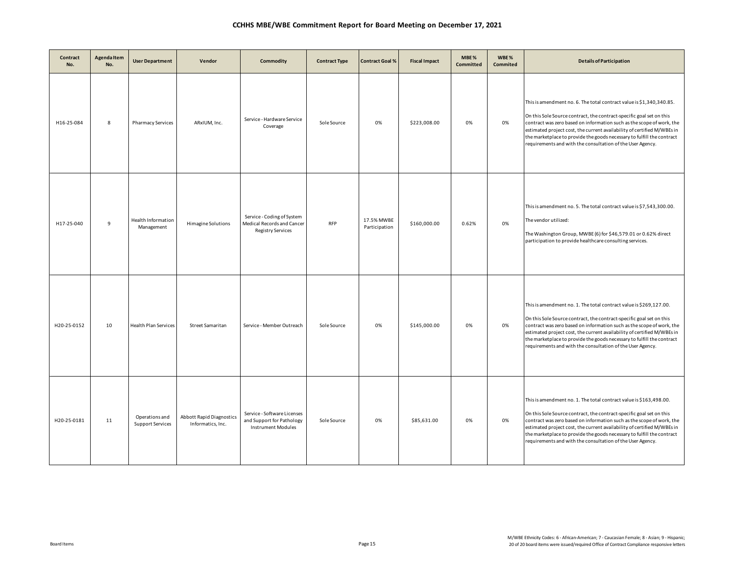| Contract<br>No. | Agenda Item<br>No. | <b>User Department</b>                    | Vendor                                        | Commodity                                                                             | <b>Contract Type</b> | <b>Contract Goal %</b>      | <b>Fiscal Impact</b> | MBE%<br>Committed | WBE%<br><b>Commited</b> | <b>Details of Participation</b>                                                                                                                                                                                                                                                                                                                                                                                                          |
|-----------------|--------------------|-------------------------------------------|-----------------------------------------------|---------------------------------------------------------------------------------------|----------------------|-----------------------------|----------------------|-------------------|-------------------------|------------------------------------------------------------------------------------------------------------------------------------------------------------------------------------------------------------------------------------------------------------------------------------------------------------------------------------------------------------------------------------------------------------------------------------------|
| H16-25-084      | 8                  | <b>Pharmacy Services</b>                  | ARxIUM, Inc.                                  | Service - Hardware Service<br>Coverage                                                | Sole Source          | 0%                          | \$223,008.00         | 0%                | 0%                      | This is amendment no. 6. The total contract value is \$1,340,340.85.<br>On this Sole Source contract, the contract-specific goal set on this<br>contract was zero based on information such as the scope of work, the<br>estimated project cost, the current availability of certified M/WBEs in<br>the marketplace to provide the goods necessary to fulfill the contract<br>requirements and with the consultation of the User Agency. |
| H17-25-040      | 9                  | Health Information<br>Management          | Himagine Solutions                            | Service - Coding of System<br>Medical Records and Cancer<br><b>Registry Services</b>  | <b>RFP</b>           | 17.5% MWBE<br>Participation | \$160,000.00         | 0.62%             | 0%                      | This is amendment no. 5. The total contract value is \$7,543,300.00.<br>The vendor utilized:<br>The Washington Group, MWBE (6) for \$46,579.01 or 0.62% direct<br>participation to provide healthcare consulting services.                                                                                                                                                                                                               |
| H20-25-0152     | 10                 | <b>Health Plan Services</b>               | <b>Street Samaritan</b>                       | Service - Member Outreach                                                             | Sole Source          | 0%                          | \$145,000.00         | 0%                | 0%                      | This is amendment no. 1. The total contract value is \$269,127.00.<br>On this Sole Source contract, the contract-specific goal set on this<br>contract was zero based on information such as the scope of work, the<br>estimated project cost, the current availability of certified M/WBEs in<br>the marketplace to provide the goods necessary to fulfill the contract<br>requirements and with the consultation of the User Agency.   |
| H20-25-0181     | 11                 | Operations and<br><b>Support Services</b> | Abbott Rapid Diagnostics<br>Informatics, Inc. | Service - Software Licenses<br>and Support for Pathology<br><b>Instrument Modules</b> | Sole Source          | 0%                          | \$85,631.00          | 0%                | 0%                      | This is amendment no. 1. The total contract value is \$163,498.00.<br>On this Sole Source contract, the contract-specific goal set on this<br>contract was zero based on information such as the scope of work, the<br>estimated project cost, the current availability of certified M/WBEs in<br>the marketplace to provide the goods necessary to fulfill the contract<br>requirements and with the consultation of the User Agency.   |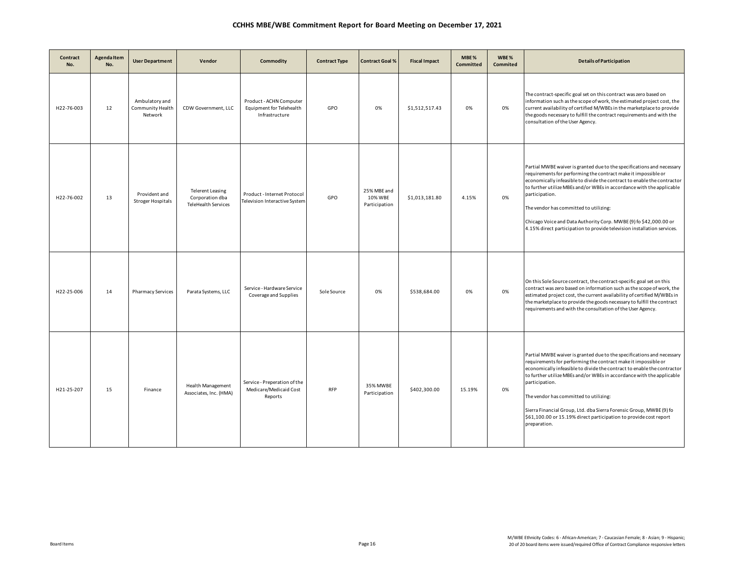| Contract<br>No. | Agenda Item<br>No. | <b>User Department</b>                        | Vendor                                                                   | Commodity                                                             | <b>Contract Type</b> | <b>Contract Goal %</b>                  | <b>Fiscal Impact</b> | MBE%<br>Committed | WBE%<br>Commited | <b>Details of Participation</b>                                                                                                                                                                                                                                                                                                                                                                                                                                                                                      |
|-----------------|--------------------|-----------------------------------------------|--------------------------------------------------------------------------|-----------------------------------------------------------------------|----------------------|-----------------------------------------|----------------------|-------------------|------------------|----------------------------------------------------------------------------------------------------------------------------------------------------------------------------------------------------------------------------------------------------------------------------------------------------------------------------------------------------------------------------------------------------------------------------------------------------------------------------------------------------------------------|
| H22-76-003      | 12                 | Ambulatory and<br>Community Health<br>Network | CDW Government, LLC                                                      | Product - ACHN Computer<br>Equipment for Telehealth<br>Infrastructure | GPO                  | 0%                                      | \$1,512,517.43       | 0%                | 0%               | The contract-specific goal set on this contract was zero based on<br>information such as the scope of work, the estimated project cost, the<br>current availability of certified M/WBEs in the marketplace to provide<br>the goods necessary to fulfill the contract requirements and with the<br>consultation of the User Agency.                                                                                                                                                                                   |
| H22-76-002      | 13                 | Provident and<br><b>Stroger Hospitals</b>     | <b>Telerent Leasing</b><br>Corporation dba<br><b>TeleHealth Services</b> | Product - Internet Protocol<br>Television Interactive System          | GPO                  | 25% MBE and<br>10% WBE<br>Participation | \$1,013,181.80       | 4.15%             | 0%               | Partial MWBE waiver is granted due to the specifications and necessary<br>requirements for performing the contract make it impossible or<br>economically infeasible to divide the contract to enable the contractor<br>to further utilize MBEs and/or WBEs in accordance with the applicable<br>participation.<br>The vendor has committed to utilizing:<br>Chicago Voice and Data Authority Corp. MWBE (9) fo \$42,000.00 or<br>4.15% direct participation to provide television installation services.             |
| H22-25-006      | 14                 | <b>Pharmacy Services</b>                      | Parata Systems, LLC                                                      | Service - Hardware Service<br>Coverage and Supplies                   | Sole Source          | 0%                                      | \$538,684.00         | 0%                | 0%               | On this Sole Source contract, the contract-specific goal set on this<br>contract was zero based on information such as the scope of work, the<br>estimated project cost, the current availability of certified M/WBEs in<br>the marketplace to provide the goods necessary to fulfill the contract<br>requirements and with the consultation of the User Agency.                                                                                                                                                     |
| H21-25-207      | 15                 | Finance                                       | Health Management<br>Associates, Inc. (HMA)                              | Service - Preperation of the<br>Medicare/Medicaid Cost<br>Reports     | <b>RFP</b>           | 35% MWBE<br>Participation               | \$402,300.00         | 15.19%            | 0%               | Partial MWBE waiver is granted due to the specifications and necessary<br>requirements for performing the contract make it impossible or<br>economically infeasible to divide the contract to enable the contractor<br>to further utilize MBEs and/or WBEs in accordance with the applicable<br>participation.<br>The vendor has committed to utilizing:<br>Sierra Financial Group, Ltd. dba Sierra Forensic Group, MWBE (9) fo<br>\$61,100.00 or 15.19% direct participation to provide cost report<br>preparation. |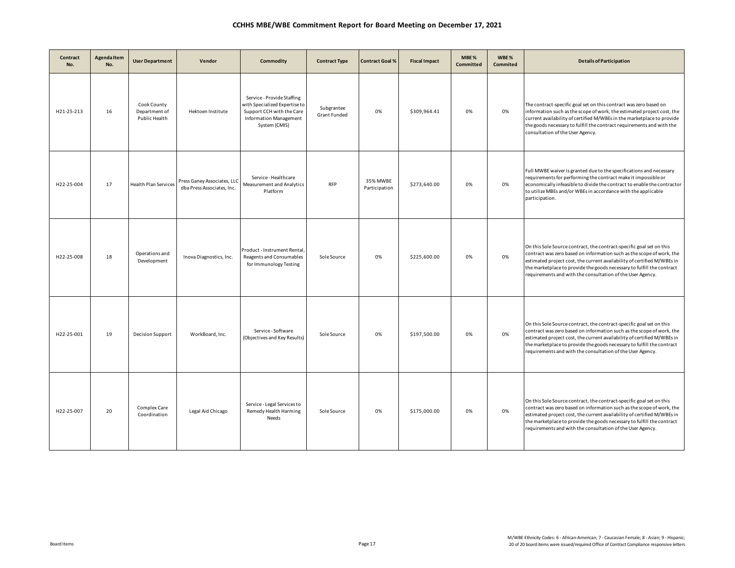| Contract<br>No. | <b>Agenda Item</b><br>No. | <b>User Department</b>                        | Vendor                                                    | Commodity                                                                                                                                  | <b>Contract Type</b>       | <b>Contract Goal %</b>    | <b>Fiscal Impact</b> | MBE%<br><b>Committed</b> | WBE %<br>Commited | <b>Details of Participation</b>                                                                                                                                                                                                                                                                                                                                  |
|-----------------|---------------------------|-----------------------------------------------|-----------------------------------------------------------|--------------------------------------------------------------------------------------------------------------------------------------------|----------------------------|---------------------------|----------------------|--------------------------|-------------------|------------------------------------------------------------------------------------------------------------------------------------------------------------------------------------------------------------------------------------------------------------------------------------------------------------------------------------------------------------------|
| H21-25-213      | 16                        | Cook County<br>Department of<br>Public Health | Hektoen Institute                                         | Service - Provide Staffing<br>with Specialized Expertise to<br>Support CCH with the Care<br><b>Information Management</b><br>System (CMIS) | Subgrantee<br>Grant Funded | 0%                        | \$309,964.41         | 0%                       | 0%                | The contract-specific goal set on this contract was zero based on<br>information such as the scope of work, the estimated project cost, the<br>current availability of certified M/WBEs in the marketplace to provide<br>the goods necessary to fulfill the contract requirements and with the<br>consultation of the User Agency.                               |
| H22-25-004      | 17                        | <b>Health Plan Services</b>                   | Press Ganey Associates, LLC<br>dba Press Associates, Inc. | Service - Healthcare<br>Measurement and Analytics<br>Platform                                                                              | <b>RFP</b>                 | 35% MWBE<br>Participation | \$273,640.00         | 0%                       | 0%                | Full MWBE waiver is granted due to the specifications and necessary<br>requirements for performing the contract make it impossible or<br>economically infeasible to divide the contract to enable the contractor<br>to utilize MBEs and/or WBEs in accordance with the applicable<br>participation.                                                              |
| H22-25-008      | 18                        | Operations and<br>Development                 | Inova Diagnostics, Inc.                                   | Product - Instrument Rental,<br>Reagents and Consumables<br>for Immunology Testing                                                         | Sole Source                | 0%                        | \$225,600.00         | 0%                       | 0%                | On this Sole Source contract, the contract-specific goal set on this<br>contract was zero based on information such as the scope of work, the<br>estimated project cost, the current availability of certified M/WBEs in<br>the marketplace to provide the goods necessary to fulfill the contract<br>requirements and with the consultation of the User Agency. |
| H22-25-001      | 19                        | <b>Decision Support</b>                       | WorkBoard, Inc.                                           | Service - Software<br>(Objectives and Key Results)                                                                                         | Sole Source                | 0%                        | \$197,500.00         | 0%                       | 0%                | On this Sole Source contract, the contract-specific goal set on this<br>contract was zero based on information such as the scope of work, the<br>estimated project cost, the current availability of certified M/WBEs in<br>the marketplace to provide the goods necessary to fulfill the contract<br>requirements and with the consultation of the User Agency. |
| H22-25-007      | 20                        | Complex Care<br>Coordination                  | Legal Aid Chicago                                         | Service - Legal Services to<br>Remedy Health Harming<br>Needs                                                                              | Sole Source                | 0%                        | \$175,000.00         | 0%                       | 0%                | On this Sole Source contract, the contract-specific goal set on this<br>contract was zero based on information such as the scope of work, the<br>estimated project cost, the current availability of certified M/WBEs in<br>the marketplace to provide the goods necessary to fulfill the contract<br>requirements and with the consultation of the User Agency. |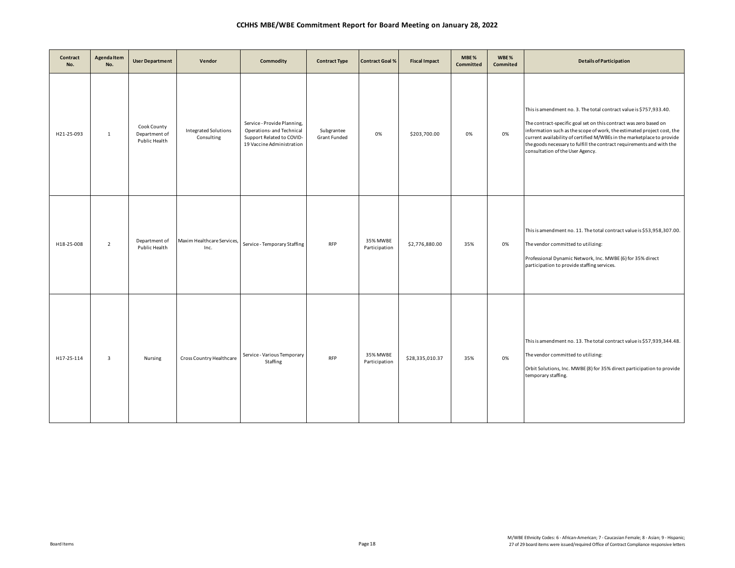| Contract<br>No. | <b>Agenda Item</b><br>No. | <b>User Department</b>                        | Vendor                             | Commodity                                                                                                          | <b>Contract Type</b>       | <b>Contract Goal %</b>    | <b>Fiscal Impact</b> | MBE%<br>Committed | WBE%<br>Commited | <b>Details of Participation</b>                                                                                                                                                                                                                                                                                                                                                                          |
|-----------------|---------------------------|-----------------------------------------------|------------------------------------|--------------------------------------------------------------------------------------------------------------------|----------------------------|---------------------------|----------------------|-------------------|------------------|----------------------------------------------------------------------------------------------------------------------------------------------------------------------------------------------------------------------------------------------------------------------------------------------------------------------------------------------------------------------------------------------------------|
| H21-25-093      | $\mathbf{1}$              | Cook County<br>Department of<br>Public Health | Integrated Solutions<br>Consulting | Service - Provide Planning,<br>Operations- and Technical<br>Support Related to COVID-<br>19 Vaccine Administration | Subgrantee<br>Grant Funded | 0%                        | \$203,700.00         | 0%                | 0%               | This is amendment no. 3. The total contract value is \$757,933.40.<br>The contract-specific goal set on this contract was zero based on<br>information such as the scope of work, the estimated project cost, the<br>current availability of certified M/WBEs in the marketplace to provide<br>the goods necessary to fulfill the contract requirements and with the<br>consultation of the User Agency. |
| H18-25-008      | $\overline{2}$            | Department of<br>Public Health                | Maxim Healthcare Services,<br>Inc. | Service - Temporary Staffing                                                                                       | <b>RFP</b>                 | 35% MWBE<br>Participation | \$2,776,880.00       | 35%               | 0%               | This is amendment no. 11. The total contract value is \$53,958,307.00.<br>The vendor committed to utilizing:<br>Professional Dynamic Network, Inc. MWBE (6) for 35% direct<br>participation to provide staffing services.                                                                                                                                                                                |
| H17-25-114      | 3                         | Nursing                                       | Cross Country Healthcare           | Service - Various Temporary<br>Staffing                                                                            | <b>RFP</b>                 | 35% MWBE<br>Participation | \$28,335,010.37      | 35%               | 0%               | This is amendment no. 13. The total contract value is \$57,939,344.48.<br>The vendor committed to utilizing:<br>Orbit Solutions, Inc. MWBE (8) for 35% direct participation to provide<br>temporary staffing.                                                                                                                                                                                            |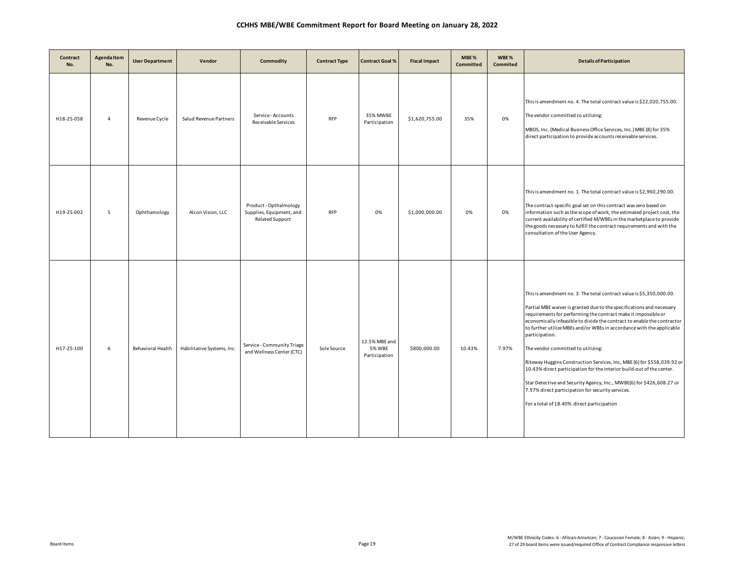| Contract<br>No. | Agenda Item<br>No. | <b>User Department</b>   | Vendor                     | Commodity                                                                    | <b>Contract Type</b> | <b>Contract Goal %</b>                          | <b>Fiscal Impact</b> | MBE%<br><b>Committed</b> | WBE%<br><b>Commited</b> | <b>Details of Participation</b>                                                                                                                                                                                                                                                                                                                                                                                                                                                                                                                                                                                                                                                                                                                             |
|-----------------|--------------------|--------------------------|----------------------------|------------------------------------------------------------------------------|----------------------|-------------------------------------------------|----------------------|--------------------------|-------------------------|-------------------------------------------------------------------------------------------------------------------------------------------------------------------------------------------------------------------------------------------------------------------------------------------------------------------------------------------------------------------------------------------------------------------------------------------------------------------------------------------------------------------------------------------------------------------------------------------------------------------------------------------------------------------------------------------------------------------------------------------------------------|
| H18-25-058      | $\overline{4}$     | Revenue Cycle            | Salud Revenue Partners     | Service - Accounts<br>Receivable Services                                    | <b>RFP</b>           | 35% MWBE<br>Participation                       | \$1,620,755.00       | 35%                      | 0%                      | This is amendment no. 4. The total contract value is \$22,020,755.00.<br>The vendor committed to utilizing:<br>MBOS, Inc. (Medical Business Office Services, Inc.) MBE (8) for 35%<br>direct participation to provide accounts receivable services.                                                                                                                                                                                                                                                                                                                                                                                                                                                                                                         |
| H19-25-002      | 5                  | Ophthamology             | Alcon Vision, LLC          | Product - Opthalmology<br>Supplies, Equipment, and<br><b>Related Support</b> | <b>RFP</b>           | 0%                                              | \$1,000,000.00       | 0%                       | 0%                      | This is amendment no. 1. The total contract value is \$2,960,290.00.<br>The contract-specific goal set on this contract was zero based on<br>information such as the scope of work, the estimated project cost, the<br>current availability of certified M/WBEs in the marketplace to provide<br>the goods necessary to fulfill the contract requirements and with the<br>consultation of the User Agency.                                                                                                                                                                                                                                                                                                                                                  |
| H17-25-100      | 6                  | <b>Behavioral Health</b> | Habilitative Systems, Inc. | Service - Community Triage<br>and Wellness Center (CTC)                      | Sole Source          | 12.5% MBE and<br><b>5% WBE</b><br>Participation | \$800,000.00         | 10.43%                   | 7.97%                   | This is amendment no. 3. The total contract value is \$5,350,000.00.<br>Partial MBE waiver is granted due to the specifications and necessary<br>requirements for performing the contract make it impossible or<br>economically infeasible to divide the contract to enable the contractor<br>to further utilize MBEs and/or WBEs in accordance with the applicable<br>participation.<br>The vendor committed to utilizing:<br>Riteway Huggins Construction Services, Inc, MBE (6) for \$558,039.92 or<br>10.43% direct participation for the interior build-out of the center.<br>Star Detective and Security Agency, Inc., MWBE(6) for \$426,608.27 or<br>7.97% direct participation for security services.<br>For a total of 18.40% direct participation |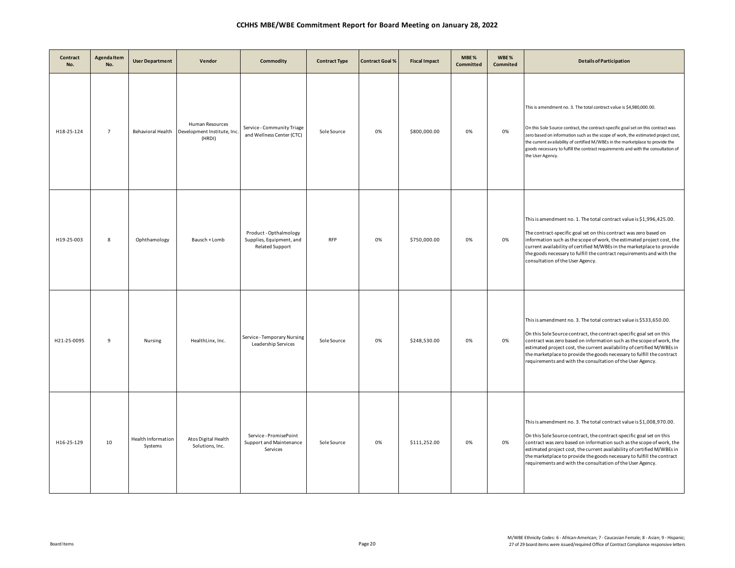| Contract<br>No. | Agenda Item<br>No. | <b>User Department</b>        | Vendor                                                                      | Commodity                                                                    | <b>Contract Type</b> | <b>Contract Goal %</b> | <b>Fiscal Impact</b> | MBE%<br>Committed | WBE%<br>Commited | <b>Details of Participation</b>                                                                                                                                                                                                                                                                                                                                                                                                          |
|-----------------|--------------------|-------------------------------|-----------------------------------------------------------------------------|------------------------------------------------------------------------------|----------------------|------------------------|----------------------|-------------------|------------------|------------------------------------------------------------------------------------------------------------------------------------------------------------------------------------------------------------------------------------------------------------------------------------------------------------------------------------------------------------------------------------------------------------------------------------------|
| H18-25-124      | $\overline{7}$     |                               | Human Resources<br>Behavioral Health   Development Institute, Inc<br>(HRDI) | Service - Community Triage<br>and Wellness Center (CTC)                      | Sole Source          | 0%                     | \$800,000.00         | 0%                | 0%               | This is amendment no. 3. The total contract value is \$4,980,000.00.<br>On this Sole Source contract, the contract-specific goal set on this contract was<br>zero based on information such as the scope of work, the estimated project cost,<br>the current availability of certified M/WBEs in the marketplace to provide the<br>goods necessary to fulfill the contract requirements and with the consultation of<br>the User Agency. |
| H19-25-003      | 8                  | Ophthamology                  | Bausch + Lomb                                                               | Product - Opthalmology<br>Supplies, Equipment, and<br><b>Related Support</b> | <b>RFP</b>           | 0%                     | \$750,000.00         | 0%                | 0%               | This is amendment no. 1. The total contract value is \$1,996,425.00.<br>The contract-specific goal set on this contract was zero based on<br>information such as the scope of work, the estimated project cost, the<br>current availability of certified M/WBEs in the marketplace to provide<br>the goods necessary to fulfill the contract requirements and with the<br>consultation of the User Agency.                               |
| H21-25-0095     | 9                  | Nursing                       | HealthLinx, Inc.                                                            | Service - Temporary Nursing<br>Leadership Services                           | Sole Source          | 0%                     | \$248,530.00         | 0%                | 0%               | This is amendment no. 3. The total contract value is \$533,650.00.<br>On this Sole Source contract, the contract-specific goal set on this<br>contract was zero based on information such as the scope of work, the<br>estimated project cost, the current availability of certified M/WBEs in<br>the marketplace to provide the goods necessary to fulfill the contract<br>requirements and with the consultation of the User Agency.   |
| H16-25-129      | 10                 | Health Information<br>Systems | Atos Digital Health<br>Solutions, Inc.                                      | Service - PromisePoint<br>Support and Maintenance<br>Services                | Sole Source          | 0%                     | \$111,252.00         | 0%                | 0%               | This is amendment no. 3. The total contract value is \$1,008,970.00.<br>On this Sole Source contract, the contract-specific goal set on this<br>contract was zero based on information such as the scope of work, the<br>estimated project cost, the current availability of certified M/WBEs in<br>the marketplace to provide the goods necessary to fulfill the contract<br>requirements and with the consultation of the User Agency. |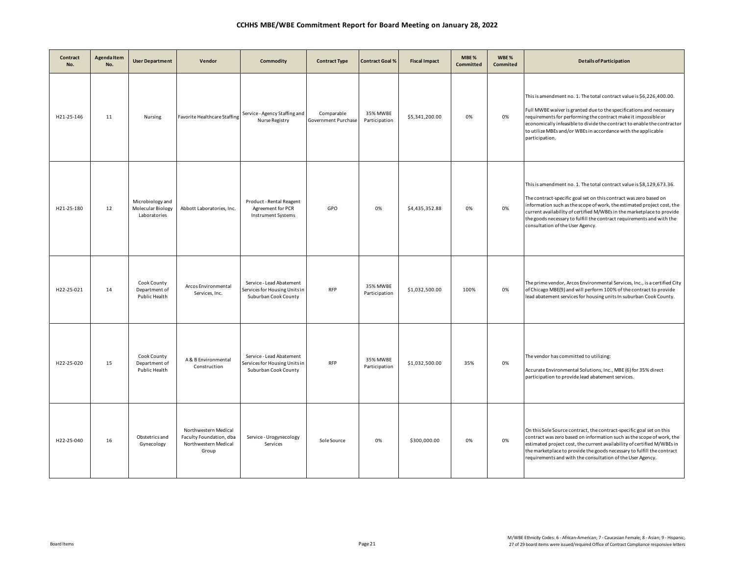| Contract<br>No. | <b>Agenda Item</b><br>No. | <b>User Department</b>                                | Vendor                                                                           | Commodity                                                                         | <b>Contract Type</b>              | <b>Contract Goal %</b>    | <b>Fiscal Impact</b> | MBE%<br>Committed | WBE%<br>Commited | <b>Details of Participation</b>                                                                                                                                                                                                                                                                                                                                                                            |
|-----------------|---------------------------|-------------------------------------------------------|----------------------------------------------------------------------------------|-----------------------------------------------------------------------------------|-----------------------------------|---------------------------|----------------------|-------------------|------------------|------------------------------------------------------------------------------------------------------------------------------------------------------------------------------------------------------------------------------------------------------------------------------------------------------------------------------------------------------------------------------------------------------------|
| H21-25-146      | 11                        | Nursing                                               | Favorite Healthcare Staffing                                                     | Service - Agency Staffing and<br>Nurse Registry                                   | Comparable<br>Government Purchase | 35% MWBE<br>Participation | \$5,341,200.00       | 0%                | 0%               | This is amendment no. 1. The total contract value is \$6,226,400.00.<br>Full MWBE waiver is granted due to the specifications and necessary<br>requirements for performing the contract make it impossible or<br>economically infeasible to divide the contract to enable the contractor<br>to utilize MBEs and/or WBEs in accordance with the applicable<br>participation.                                |
| H21-25-180      | 12                        | Microbiology and<br>Molecular Biology<br>Laboratories | Abbott Laboratories, Inc.                                                        | Product - Rental Reagent<br>Agreement for PCR<br><b>Instrument Systems</b>        | GPO                               | 0%                        | \$4,435,352.88       | 0%                | 0%               | This is amendment no. 1. The total contract value is \$8,129,673.36.<br>The contract-specific goal set on this contract was zero based on<br>information such as the scope of work, the estimated project cost, the<br>current availability of certified M/WBEs in the marketplace to provide<br>the goods necessary to fulfill the contract requirements and with the<br>consultation of the User Agency. |
| H22-25-021      | 14                        | Cook County<br>Department of<br>Public Health         | Arcos Environmental<br>Services, Inc.                                            | Service - Lead Abatement<br>Services for Housing Units in<br>Suburban Cook County | <b>RFP</b>                        | 35% MWBE<br>Participation | \$1,032,500.00       | 100%              | 0%               | The prime vendor, Arcos Environmental Services, Inc., is a certified City<br>of Chicago MBE(9) and will perform 100% of the contract to provide<br>lead abatement services for housing units In suburban Cook County.                                                                                                                                                                                      |
| H22-25-020      | 15                        | Cook County<br>Department of<br>Public Health         | A & B Environmental<br>Construction                                              | Service - Lead Abatement<br>Services for Housing Units in<br>Suburban Cook County | <b>RFP</b>                        | 35% MWBE<br>Participation | \$1,032,500.00       | 35%               | 0%               | The vendor has committed to utilizing:<br>Accurate Environmental Solutions, Inc., MBE (6) for 35% direct<br>participation to provide lead abatement services.                                                                                                                                                                                                                                              |
| H22-25-040      | 16                        | Obstetrics and<br>Gynecology                          | Northwestern Medical<br>Faculty Foundation, dba<br>Northwestern Medical<br>Group | Service - Urogynecology<br>Services                                               | Sole Source                       | 0%                        | \$300,000.00         | 0%                | 0%               | On this Sole Source contract, the contract-specific goal set on this<br>contract was zero based on information such as the scope of work, the<br>estimated project cost, the current availability of certified M/WBEs in<br>the marketplace to provide the goods necessary to fulfill the contract<br>requirements and with the consultation of the User Agency.                                           |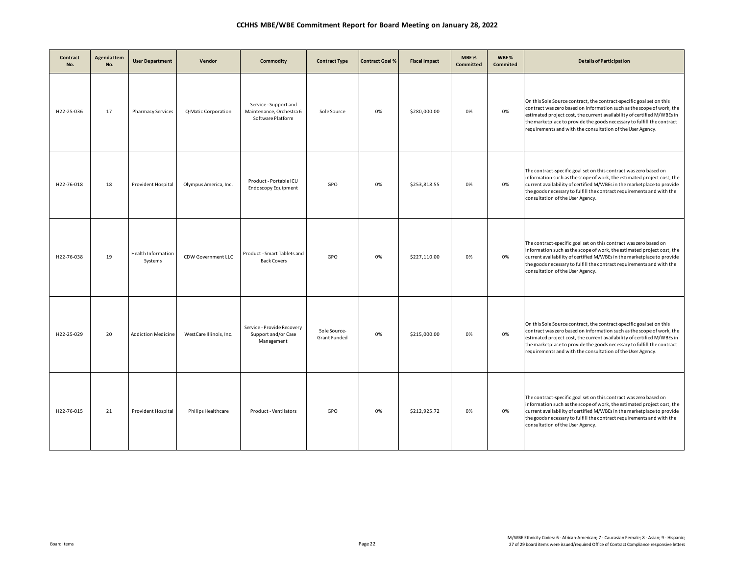| Contract<br>No. | <b>Agenda Item</b><br>No. | <b>User Department</b>        | Vendor                    | Commodity                                                              | <b>Contract Type</b>                | <b>Contract Goal %</b> | <b>Fiscal Impact</b> | MBE%<br>Committed | WBE%<br>Commited | <b>Details of Participation</b>                                                                                                                                                                                                                                                                                                                                  |
|-----------------|---------------------------|-------------------------------|---------------------------|------------------------------------------------------------------------|-------------------------------------|------------------------|----------------------|-------------------|------------------|------------------------------------------------------------------------------------------------------------------------------------------------------------------------------------------------------------------------------------------------------------------------------------------------------------------------------------------------------------------|
| H22-25-036      | 17                        | <b>Pharmacy Services</b>      | Q-Matic Corporation       | Service - Support and<br>Maintenance, Orchestra 6<br>Software Platform | Sole Source                         | 0%                     | \$280,000.00         | 0%                | 0%               | On this Sole Source contract, the contract-specific goal set on this<br>contract was zero based on information such as the scope of work, the<br>estimated project cost, the current availability of certified M/WBEs in<br>the marketplace to provide the goods necessary to fulfill the contract<br>requirements and with the consultation of the User Agency. |
| H22-76-018      | 18                        | Provident Hospital            | Olympus America, Inc.     | Product - Portable ICU<br><b>Endoscopy Equipment</b>                   | GPO                                 | 0%                     | \$253,818.55         | 0%                | 0%               | The contract-specific goal set on this contract was zero based on<br>information such as the scope of work, the estimated project cost, the<br>current availability of certified M/WBEs in the marketplace to provide<br>the goods necessary to fulfill the contract requirements and with the<br>consultation of the User Agency.                               |
| H22-76-038      | 19                        | Health Information<br>Systems | <b>CDW Government LLC</b> | Product - Smart Tablets and<br><b>Back Covers</b>                      | GPO                                 | 0%                     | \$227,110.00         | 0%                | 0%               | The contract-specific goal set on this contract was zero based on<br>information such as the scope of work, the estimated project cost, the<br>current availability of certified M/WBEs in the marketplace to provide<br>the goods necessary to fulfill the contract requirements and with the<br>consultation of the User Agency.                               |
| H22-25-029      | 20                        | <b>Addiction Medicine</b>     | WestCare Illinois, Inc.   | Service - Provide Recovery<br>Support and/or Case<br>Management        | Sole Source-<br><b>Grant Funded</b> | 0%                     | \$215,000.00         | 0%                | 0%               | On this Sole Source contract, the contract-specific goal set on this<br>contract was zero based on information such as the scope of work, the<br>estimated project cost, the current availability of certified M/WBEs in<br>the marketplace to provide the goods necessary to fulfill the contract<br>requirements and with the consultation of the User Agency. |
| H22-76-015      | 21                        | Provident Hospital            | Philips Healthcare        | Product - Ventilators                                                  | GPO                                 | 0%                     | \$212,925.72         | 0%                | 0%               | The contract-specific goal set on this contract was zero based on<br>information such as the scope of work, the estimated project cost, the<br>current availability of certified M/WBEs in the marketplace to provide<br>the goods necessary to fulfill the contract requirements and with the<br>consultation of the User Agency.                               |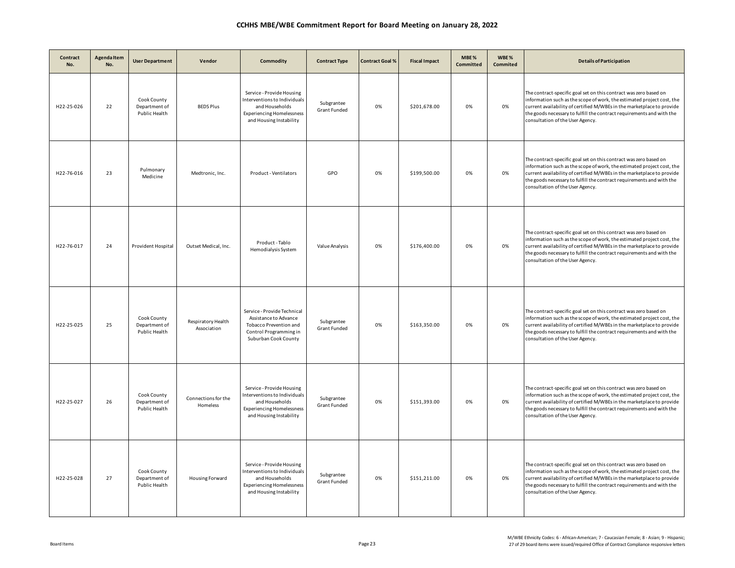| Contract<br>No. | Agenda Item<br>No. | <b>User Department</b>                        | Vendor                            | Commodity                                                                                                                                  | <b>Contract Type</b>              | <b>Contract Goal %</b> | <b>Fiscal Impact</b> | MBE%<br>Committed | WBE%<br>Commited | <b>Details of Participation</b>                                                                                                                                                                                                                                                                                                    |
|-----------------|--------------------|-----------------------------------------------|-----------------------------------|--------------------------------------------------------------------------------------------------------------------------------------------|-----------------------------------|------------------------|----------------------|-------------------|------------------|------------------------------------------------------------------------------------------------------------------------------------------------------------------------------------------------------------------------------------------------------------------------------------------------------------------------------------|
| H22-25-026      | 22                 | Cook County<br>Department of<br>Public Health | <b>BEDS Plus</b>                  | Service - Provide Housing<br>Interventions to Individuals<br>and Households<br><b>Experiencing Homelessness</b><br>and Housing Instability | Subgrantee<br>Grant Funded        | 0%                     | \$201,678.00         | 0%                | 0%               | The contract-specific goal set on this contract was zero based on<br>information such as the scope of work, the estimated project cost, the<br>current availability of certified M/WBEs in the marketplace to provide<br>the goods necessary to fulfill the contract requirements and with the<br>consultation of the User Agency. |
| H22-76-016      | 23                 | Pulmonary<br>Medicine                         | Medtronic, Inc.                   | Product - Ventilators                                                                                                                      | GPO                               | 0%                     | \$199,500.00         | 0%                | 0%               | The contract-specific goal set on this contract was zero based on<br>information such as the scope of work, the estimated project cost, the<br>current availability of certified M/WBEs in the marketplace to provide<br>the goods necessary to fulfill the contract requirements and with the<br>consultation of the User Agency. |
| H22-76-017      | 24                 | Provident Hospital                            | Outset Medical, Inc.              | Product - Tablo<br>Hemodialysis System                                                                                                     | Value Analysis                    | 0%                     | \$176,400.00         | 0%                | 0%               | The contract-specific goal set on this contract was zero based on<br>information such as the scope of work, the estimated project cost, the<br>current availability of certified M/WBEs in the marketplace to provide<br>the goods necessary to fulfill the contract requirements and with the<br>consultation of the User Agency. |
| H22-25-025      | 25                 | Cook County<br>Department of<br>Public Health | Respiratory Health<br>Association | Service - Provide Technical<br>Assistance to Advance<br>Tobacco Prevention and<br>Control Programming in<br>Suburban Cook County           | Subgrantee<br>Grant Funded        | 0%                     | \$163,350.00         | 0%                | 0%               | The contract-specific goal set on this contract was zero based on<br>information such as the scope of work, the estimated project cost, the<br>current availability of certified M/WBEs in the marketplace to provide<br>the goods necessary to fulfill the contract requirements and with the<br>consultation of the User Agency. |
| H22-25-027      | 26                 | Cook County<br>Department of<br>Public Health | Connections for the<br>Homeless   | Service - Provide Housing<br>Interventions to Individuals<br>and Households<br><b>Experiencing Homelessness</b><br>and Housing Instability | Subgrantee<br><b>Grant Funded</b> | 0%                     | \$151,393.00         | 0%                | 0%               | The contract-specific goal set on this contract was zero based on<br>information such as the scope of work, the estimated project cost, the<br>current availability of certified M/WBEs in the marketplace to provide<br>the goods necessary to fulfill the contract requirements and with the<br>consultation of the User Agency. |
| H22-25-028      | 27                 | Cook County<br>Department of<br>Public Health | Housing Forward                   | Service - Provide Housing<br>Interventions to Individuals<br>and Households<br><b>Experiencing Homelessness</b><br>and Housing Instability | Subgrantee<br>Grant Funded        | 0%                     | \$151,211.00         | 0%                | 0%               | The contract-specific goal set on this contract was zero based on<br>information such as the scope of work, the estimated project cost, the<br>current availability of certified M/WBEs in the marketplace to provide<br>the goods necessary to fulfill the contract requirements and with the<br>consultation of the User Agency. |